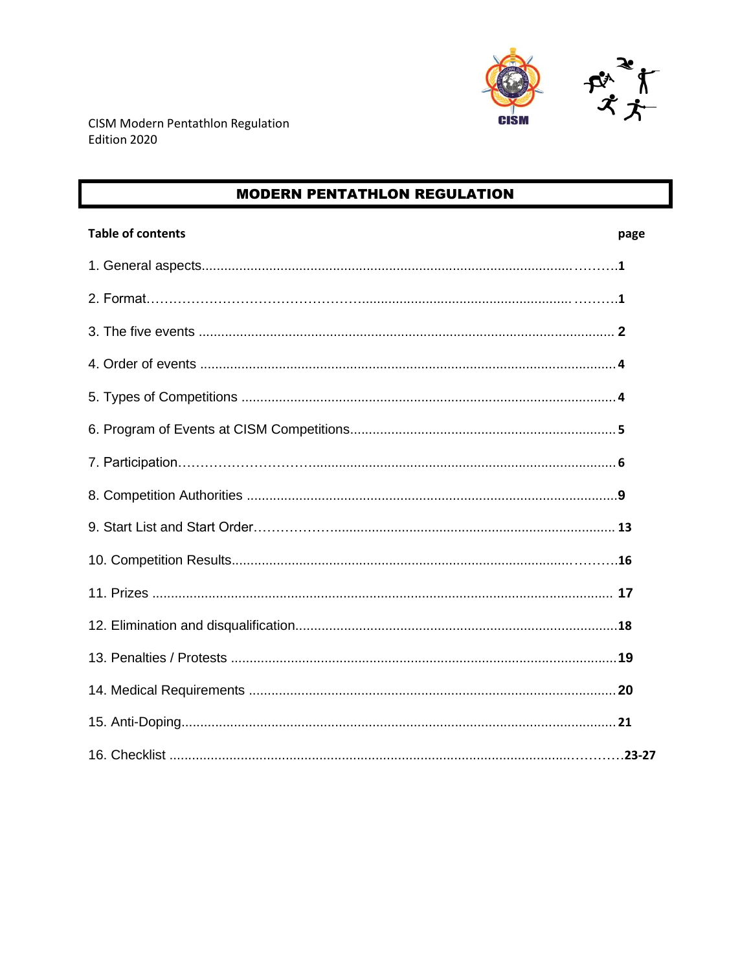

# **MODERN PENTATHLON REGULATION**

| <b>Table of contents</b> | page |
|--------------------------|------|
|                          |      |
|                          |      |
|                          |      |
|                          |      |
|                          |      |
|                          |      |
|                          |      |
|                          |      |
|                          |      |
|                          |      |
|                          |      |
|                          |      |
|                          |      |
|                          |      |
|                          |      |
|                          |      |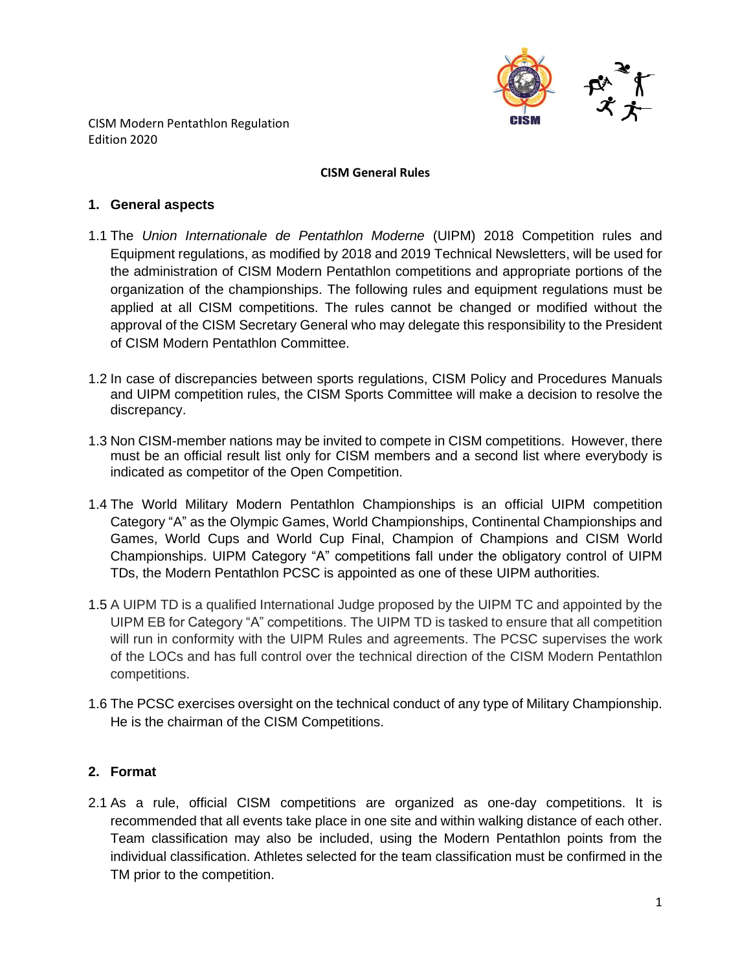

#### **CISM General Rules**

### **1. General aspects**

- 1.1 The *Union Internationale de Pentathlon Moderne* (UIPM) 2018 Competition rules and Equipment regulations, as modified by 2018 and 2019 Technical Newsletters, will be used for the administration of CISM Modern Pentathlon competitions and appropriate portions of the organization of the championships. The following rules and equipment regulations must be applied at all CISM competitions. The rules cannot be changed or modified without the approval of the CISM Secretary General who may delegate this responsibility to the President of CISM Modern Pentathlon Committee.
- 1.2 In case of discrepancies between sports regulations, CISM Policy and Procedures Manuals and UIPM competition rules, the CISM Sports Committee will make a decision to resolve the discrepancy.
- 1.3 Non CISM-member nations may be invited to compete in CISM competitions. However, there must be an official result list only for CISM members and a second list where everybody is indicated as competitor of the Open Competition.
- 1.4 The World Military Modern Pentathlon Championships is an official UIPM competition Category "A" as the Olympic Games, World Championships, Continental Championships and Games, World Cups and World Cup Final, Champion of Champions and CISM World Championships. UIPM Category "A" competitions fall under the obligatory control of UIPM TDs, the Modern Pentathlon PCSC is appointed as one of these UIPM authorities.
- 1.5 A UIPM TD is a qualified International Judge proposed by the UIPM TC and appointed by the UIPM EB for Category "A" competitions. The UIPM TD is tasked to ensure that all competition will run in conformity with the UIPM Rules and agreements. The PCSC supervises the work of the LOCs and has full control over the technical direction of the CISM Modern Pentathlon competitions.
- 1.6 The PCSC exercises oversight on the technical conduct of any type of Military Championship. He is the chairman of the CISM Competitions.

## **2. Format**

2.1 As a rule, official CISM competitions are organized as one-day competitions. It is recommended that all events take place in one site and within walking distance of each other. Team classification may also be included, using the Modern Pentathlon points from the individual classification. Athletes selected for the team classification must be confirmed in the TM prior to the competition.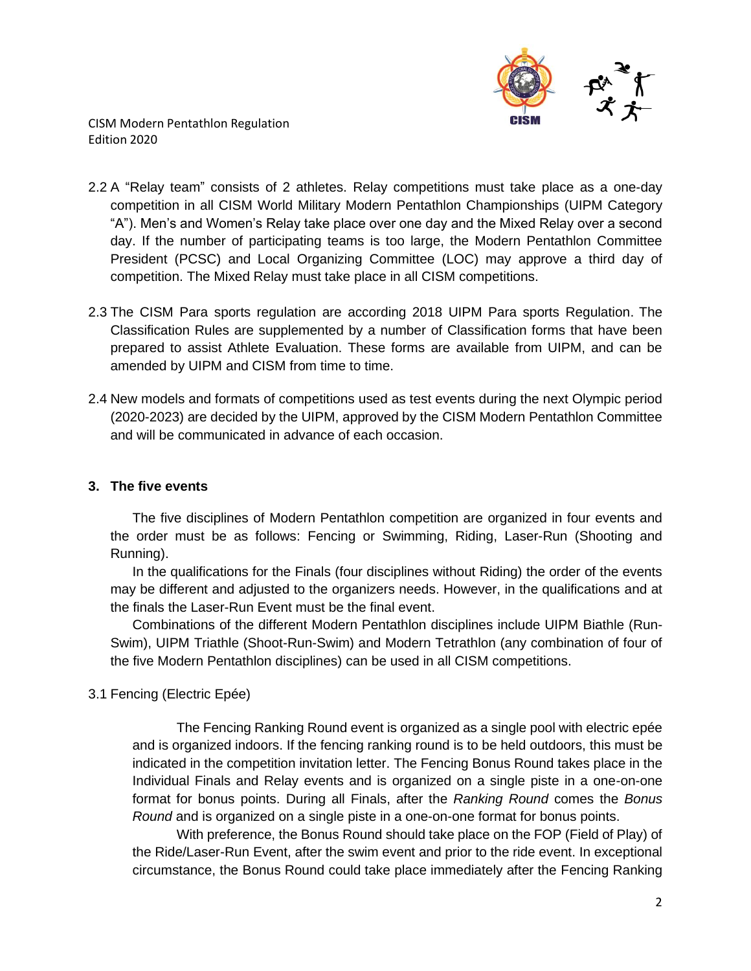

- 2.2 A "Relay team" consists of 2 athletes. Relay competitions must take place as a one-day competition in all CISM World Military Modern Pentathlon Championships (UIPM Category "A"). Men's and Women's Relay take place over one day and the Mixed Relay over a second day. If the number of participating teams is too large, the Modern Pentathlon Committee President (PCSC) and Local Organizing Committee (LOC) may approve a third day of competition. The Mixed Relay must take place in all CISM competitions.
- 2.3 The CISM Para sports regulation are according 2018 UIPM Para sports Regulation. The Classification Rules are supplemented by a number of Classification forms that have been prepared to assist Athlete Evaluation. These forms are available from UIPM, and can be amended by UIPM and CISM from time to time.
- 2.4 New models and formats of competitions used as test events during the next Olympic period (2020-2023) are decided by the UIPM, approved by the CISM Modern Pentathlon Committee and will be communicated in advance of each occasion.

## **3. The five events**

The five disciplines of Modern Pentathlon competition are organized in four events and the order must be as follows: Fencing or Swimming, Riding, Laser-Run (Shooting and Running).

In the qualifications for the Finals (four disciplines without Riding) the order of the events may be different and adjusted to the organizers needs. However, in the qualifications and at the finals the Laser-Run Event must be the final event.

Combinations of the different Modern Pentathlon disciplines include UIPM Biathle (Run-Swim), UIPM Triathle (Shoot-Run-Swim) and Modern Tetrathlon (any combination of four of the five Modern Pentathlon disciplines) can be used in all CISM competitions.

## 3.1 Fencing (Electric Epée)

The Fencing Ranking Round event is organized as a single pool with electric epée and is organized indoors. If the fencing ranking round is to be held outdoors, this must be indicated in the competition invitation letter. The Fencing Bonus Round takes place in the Individual Finals and Relay events and is organized on a single piste in a one-on-one format for bonus points. During all Finals, after the *Ranking Round* comes the *Bonus Round* and is organized on a single piste in a one-on-one format for bonus points.

With preference, the Bonus Round should take place on the FOP (Field of Play) of the Ride/Laser-Run Event, after the swim event and prior to the ride event. In exceptional circumstance, the Bonus Round could take place immediately after the Fencing Ranking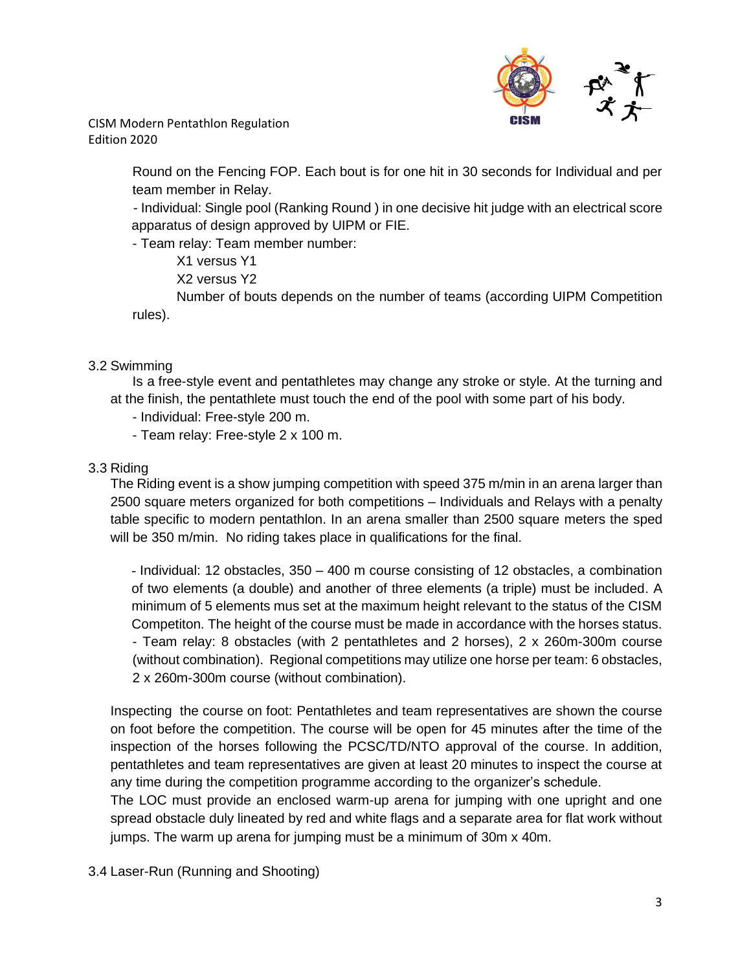

> Round on the Fencing FOP. Each bout is for one hit in 30 seconds for Individual and per team member in Relay.

> - Individual: Single pool (Ranking Round ) in one decisive hit judge with an electrical score apparatus of design approved by UIPM or FIE.

- Team relay: Team member number:

X1 versus Y1

X2 versus Y2

Number of bouts depends on the number of teams (according UIPM Competition rules).

## 3.2 Swimming

Is a free-style event and pentathletes may change any stroke or style. At the turning and at the finish, the pentathlete must touch the end of the pool with some part of his body.

- Individual: Free-style 200 m.
- Team relay: Free-style 2 x 100 m.

## 3.3 Riding

The Riding event is a show jumping competition with speed 375 m/min in an arena larger than 2500 square meters organized for both competitions – Individuals and Relays with a penalty table specific to modern pentathlon. In an arena smaller than 2500 square meters the sped will be 350 m/min. No riding takes place in qualifications for the final.

- Individual: 12 obstacles, 350 – 400 m course consisting of 12 obstacles, a combination of two elements (a double) and another of three elements (a triple) must be included. A minimum of 5 elements mus set at the maximum height relevant to the status of the CISM Competiton. The height of the course must be made in accordance with the horses status. - Team relay: 8 obstacles (with 2 pentathletes and 2 horses), 2 x 260m-300m course (without combination). Regional competitions may utilize one horse per team: 6 obstacles, 2 x 260m-300m course (without combination).

Inspecting the course on foot: Pentathletes and team representatives are shown the course on foot before the competition. The course will be open for 45 minutes after the time of the inspection of the horses following the PCSC/TD/NTO approval of the course. In addition, pentathletes and team representatives are given at least 20 minutes to inspect the course at any time during the competition programme according to the organizer's schedule.

The LOC must provide an enclosed warm-up arena for jumping with one upright and one spread obstacle duly lineated by red and white flags and a separate area for flat work without jumps. The warm up arena for jumping must be a minimum of 30m x 40m.

3.4 Laser-Run (Running and Shooting)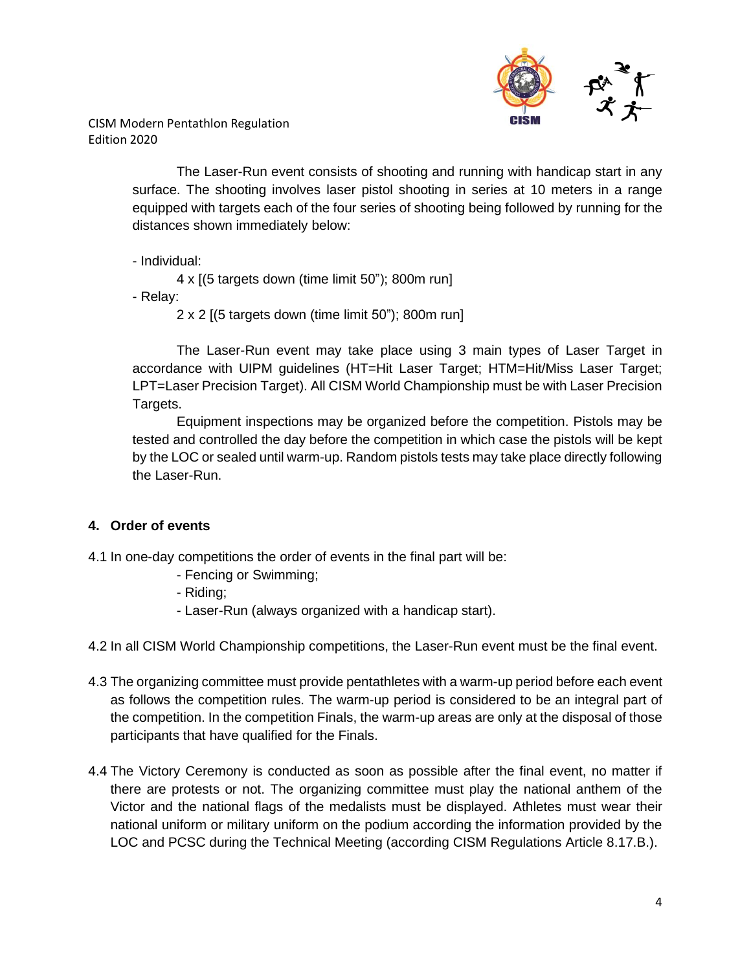

> The Laser-Run event consists of shooting and running with handicap start in any surface. The shooting involves laser pistol shooting in series at 10 meters in a range equipped with targets each of the four series of shooting being followed by running for the distances shown immediately below:

- Individual:

4 x [(5 targets down (time limit 50"); 800m run]

- Relay:

2 x 2 [(5 targets down (time limit 50"); 800m run]

The Laser-Run event may take place using 3 main types of Laser Target in accordance with UIPM guidelines (HT=Hit Laser Target; HTM=Hit/Miss Laser Target; LPT=Laser Precision Target). All CISM World Championship must be with Laser Precision Targets.

Equipment inspections may be organized before the competition. Pistols may be tested and controlled the day before the competition in which case the pistols will be kept by the LOC or sealed until warm-up. Random pistols tests may take place directly following the Laser-Run.

# **4. Order of events**

4.1 In one-day competitions the order of events in the final part will be:

- Fencing or Swimming;
- Riding;
- Laser-Run (always organized with a handicap start).

4.2 In all CISM World Championship competitions, the Laser-Run event must be the final event.

- 4.3 The organizing committee must provide pentathletes with a warm-up period before each event as follows the competition rules. The warm-up period is considered to be an integral part of the competition. In the competition Finals, the warm-up areas are only at the disposal of those participants that have qualified for the Finals.
- 4.4 The Victory Ceremony is conducted as soon as possible after the final event, no matter if there are protests or not. The organizing committee must play the national anthem of the Victor and the national flags of the medalists must be displayed. Athletes must wear their national uniform or military uniform on the podium according the information provided by the LOC and PCSC during the Technical Meeting (according CISM Regulations Article 8.17.B.).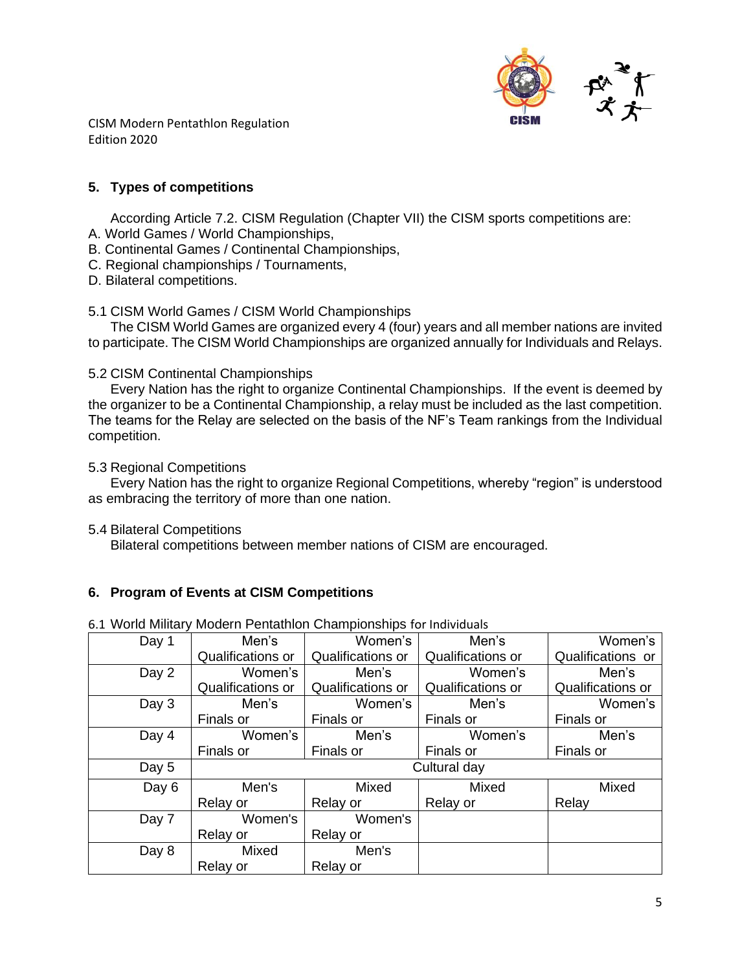

## **5. Types of competitions**

According Article 7.2. CISM Regulation (Chapter VII) the CISM sports competitions are:

- A. World Games / World Championships,
- B. Continental Games / Continental Championships,
- C. Regional championships / Tournaments,
- D. Bilateral competitions.

### 5.1 CISM World Games / CISM World Championships

The CISM World Games are organized every 4 (four) years and all member nations are invited to participate. The CISM World Championships are organized annually for Individuals and Relays.

### 5.2 CISM Continental Championships

Every Nation has the right to organize Continental Championships. If the event is deemed by the organizer to be a Continental Championship, a relay must be included as the last competition. The teams for the Relay are selected on the basis of the NF's Team rankings from the Individual competition.

#### 5.3 Regional Competitions

Every Nation has the right to organize Regional Competitions, whereby "region" is understood as embracing the territory of more than one nation.

5.4 Bilateral Competitions

Bilateral competitions between member nations of CISM are encouraged.

## **6. Program of Events at CISM Competitions**

| Day 1 | Men's             | Women's<br>Men's         |                   | Women's           |  |
|-------|-------------------|--------------------------|-------------------|-------------------|--|
|       | Qualifications or | <b>Qualifications or</b> | Qualifications or | Qualifications or |  |
| Day 2 | Women's           | Men's                    | Women's           | Men's             |  |
|       | Qualifications or | <b>Qualifications or</b> | Qualifications or | Qualifications or |  |
| Day 3 | Men's             | Women's                  | Men's             | Women's           |  |
|       | Finals or         | Finals or                | Finals or         | Finals or         |  |
| Day 4 | Women's           | Men's                    | Women's           | Men's             |  |
|       | Finals or         | Finals or                | Finals or         | Finals or         |  |
| Day 5 | Cultural day      |                          |                   |                   |  |
| Day 6 | Mixed<br>Men's    |                          | Mixed             | Mixed             |  |
|       | Relay or          | Relay or                 | Relay or          | Relay             |  |
| Day 7 | Women's           | Women's                  |                   |                   |  |
|       | Relay or          | Relay or                 |                   |                   |  |
| Day 8 | Mixed             | Men's                    |                   |                   |  |
|       | Relay or          | Relay or                 |                   |                   |  |

6.1 World Military Modern Pentathlon Championships for Individuals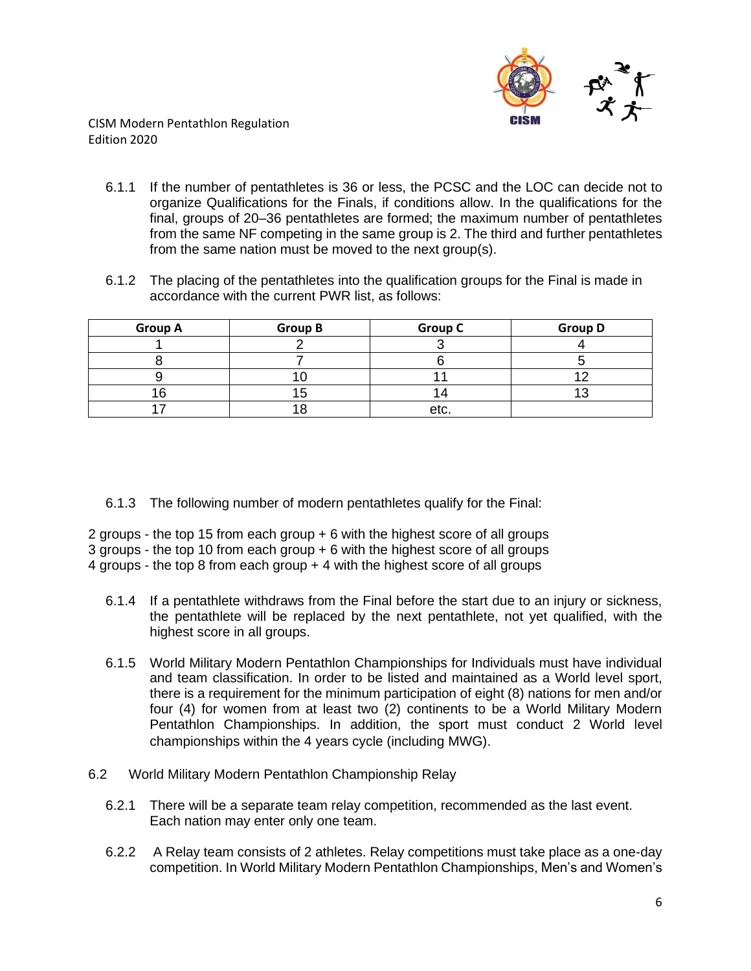

- 6.1.1 If the number of pentathletes is 36 or less, the PCSC and the LOC can decide not to organize Qualifications for the Finals, if conditions allow. In the qualifications for the final, groups of 20–36 pentathletes are formed; the maximum number of pentathletes from the same NF competing in the same group is 2. The third and further pentathletes from the same nation must be moved to the next group(s).
- 6.1.2 The placing of the pentathletes into the qualification groups for the Final is made in accordance with the current PWR list, as follows:

| <b>Group A</b> | <b>Group B</b> | <b>Group C</b> | <b>Group D</b> |
|----------------|----------------|----------------|----------------|
|                |                |                |                |
|                |                |                |                |
|                |                |                |                |
| 1ፍ             |                |                |                |
|                |                | etc.           |                |

6.1.3 The following number of modern pentathletes qualify for the Final:

2 groups - the top 15 from each group + 6 with the highest score of all groups

3 groups - the top 10 from each group + 6 with the highest score of all groups

4 groups - the top 8 from each group + 4 with the highest score of all groups

- 6.1.4 If a pentathlete withdraws from the Final before the start due to an injury or sickness, the pentathlete will be replaced by the next pentathlete, not yet qualified, with the highest score in all groups.
- 6.1.5 World Military Modern Pentathlon Championships for Individuals must have individual and team classification. In order to be listed and maintained as a World level sport, there is a requirement for the minimum participation of eight (8) nations for men and/or four (4) for women from at least two (2) continents to be a World Military Modern Pentathlon Championships. In addition, the sport must conduct 2 World level championships within the 4 years cycle (including MWG).
- 6.2 World Military Modern Pentathlon Championship Relay
	- 6.2.1 There will be a separate team relay competition, recommended as the last event. Each nation may enter only one team.
	- 6.2.2 A Relay team consists of 2 athletes. Relay competitions must take place as a one-day competition. In World Military Modern Pentathlon Championships, Men's and Women's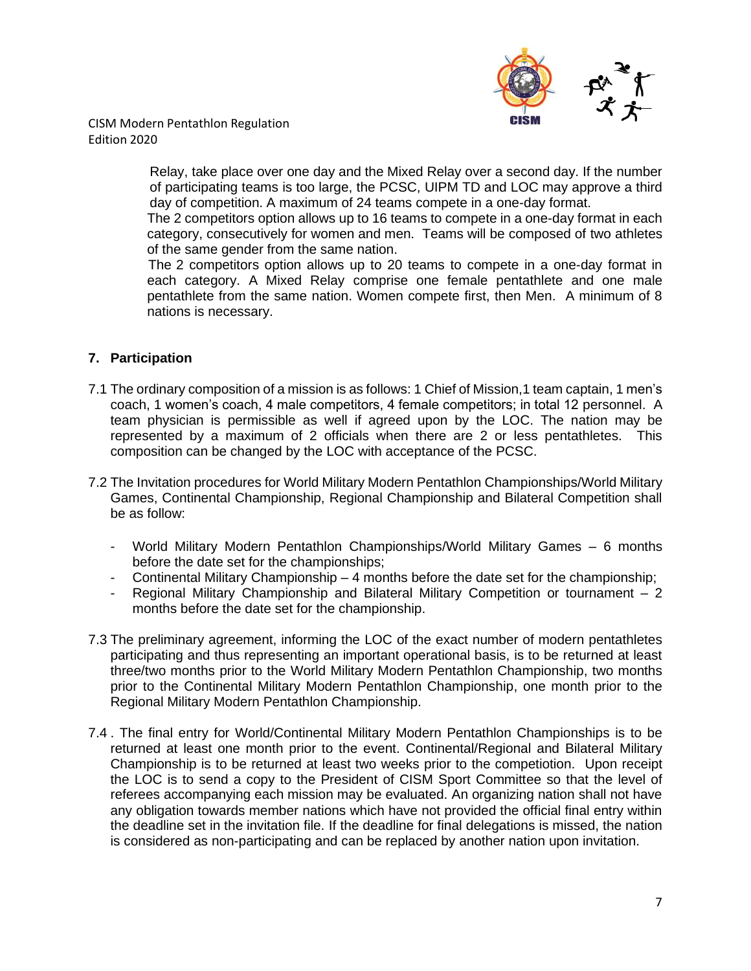

> Relay, take place over one day and the Mixed Relay over a second day. If the number of participating teams is too large, the PCSC, UIPM TD and LOC may approve a third day of competition. A maximum of 24 teams compete in a one-day format.

> The 2 competitors option allows up to 16 teams to compete in a one-day format in each category, consecutively for women and men. Teams will be composed of two athletes of the same gender from the same nation.

> The 2 competitors option allows up to 20 teams to compete in a one-day format in each category. A Mixed Relay comprise one female pentathlete and one male pentathlete from the same nation. Women compete first, then Men. A minimum of 8 nations is necessary.

## **7. Participation**

- 7.1 The ordinary composition of a mission is as follows: 1 Chief of Mission,1 team captain, 1 men's coach, 1 women's coach, 4 male competitors, 4 female competitors; in total 12 personnel. A team physician is permissible as well if agreed upon by the LOC. The nation may be represented by a maximum of 2 officials when there are 2 or less pentathletes. This composition can be changed by the LOC with acceptance of the PCSC.
- 7.2 The Invitation procedures for World Military Modern Pentathlon Championships/World Military Games, Continental Championship, Regional Championship and Bilateral Competition shall be as follow:
	- World Military Modern Pentathlon Championships/World Military Games 6 months before the date set for the championships;
	- Continental Military Championship 4 months before the date set for the championship;
	- Regional Military Championship and Bilateral Military Competition or tournament  $-2$ months before the date set for the championship.
- 7.3 The preliminary agreement, informing the LOC of the exact number of modern pentathletes participating and thus representing an important operational basis, is to be returned at least three/two months prior to the World Military Modern Pentathlon Championship, two months prior to the Continental Military Modern Pentathlon Championship, one month prior to the Regional Military Modern Pentathlon Championship.
- 7.4 . The final entry for World/Continental Military Modern Pentathlon Championships is to be returned at least one month prior to the event. Continental/Regional and Bilateral Military Championship is to be returned at least two weeks prior to the competiotion. Upon receipt the LOC is to send a copy to the President of CISM Sport Committee so that the level of referees accompanying each mission may be evaluated. An organizing nation shall not have any obligation towards member nations which have not provided the official final entry within the deadline set in the invitation file. If the deadline for final delegations is missed, the nation is considered as non-participating and can be replaced by another nation upon invitation.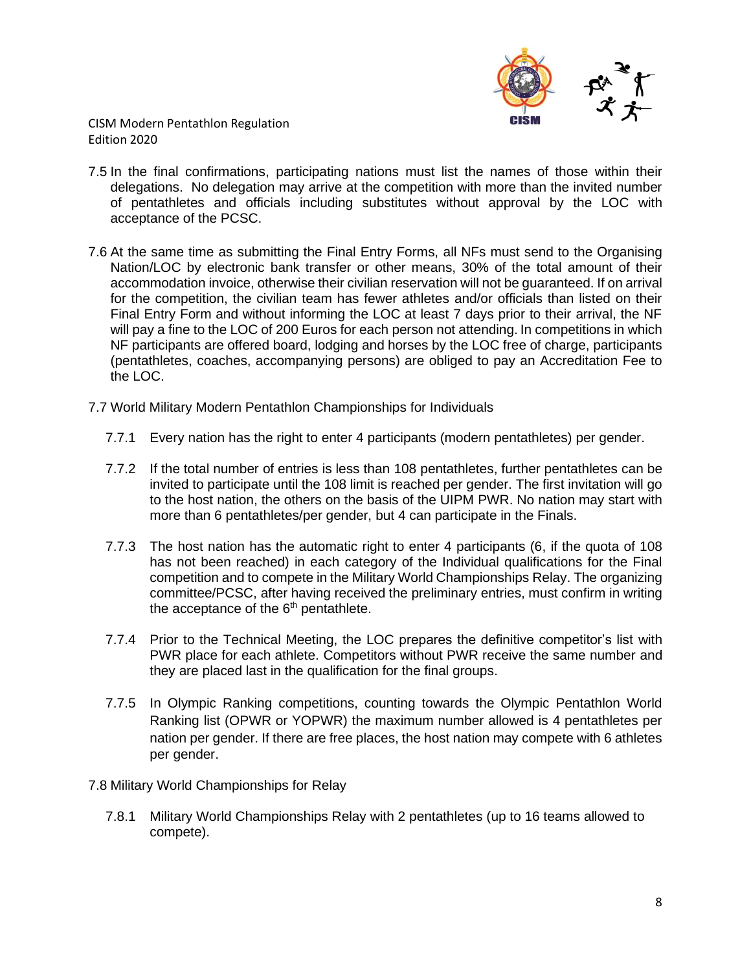

- 7.5 In the final confirmations, participating nations must list the names of those within their delegations. No delegation may arrive at the competition with more than the invited number of pentathletes and officials including substitutes without approval by the LOC with acceptance of the PCSC.
- 7.6 At the same time as submitting the Final Entry Forms, all NFs must send to the Organising Nation/LOC by electronic bank transfer or other means, 30% of the total amount of their accommodation invoice, otherwise their civilian reservation will not be guaranteed. If on arrival for the competition, the civilian team has fewer athletes and/or officials than listed on their Final Entry Form and without informing the LOC at least 7 days prior to their arrival, the NF will pay a fine to the LOC of 200 Euros for each person not attending. In competitions in which NF participants are offered board, lodging and horses by the LOC free of charge, participants (pentathletes, coaches, accompanying persons) are obliged to pay an Accreditation Fee to the LOC.
- 7.7 World Military Modern Pentathlon Championships for Individuals
	- 7.7.1 Every nation has the right to enter 4 participants (modern pentathletes) per gender.
	- 7.7.2 If the total number of entries is less than 108 pentathletes, further pentathletes can be invited to participate until the 108 limit is reached per gender. The first invitation will go to the host nation, the others on the basis of the UIPM PWR. No nation may start with more than 6 pentathletes/per gender, but 4 can participate in the Finals.
	- 7.7.3 The host nation has the automatic right to enter 4 participants (6, if the quota of 108 has not been reached) in each category of the Individual qualifications for the Final competition and to compete in the Military World Championships Relay. The organizing committee/PCSC, after having received the preliminary entries, must confirm in writing the acceptance of the 6<sup>th</sup> pentathlete.
	- 7.7.4 Prior to the Technical Meeting, the LOC prepares the definitive competitor's list with PWR place for each athlete. Competitors without PWR receive the same number and they are placed last in the qualification for the final groups.
	- 7.7.5 In Olympic Ranking competitions, counting towards the Olympic Pentathlon World Ranking list (OPWR or YOPWR) the maximum number allowed is 4 pentathletes per nation per gender. If there are free places, the host nation may compete with 6 athletes per gender.
- 7.8 Military World Championships for Relay
	- 7.8.1 Military World Championships Relay with 2 pentathletes (up to 16 teams allowed to compete).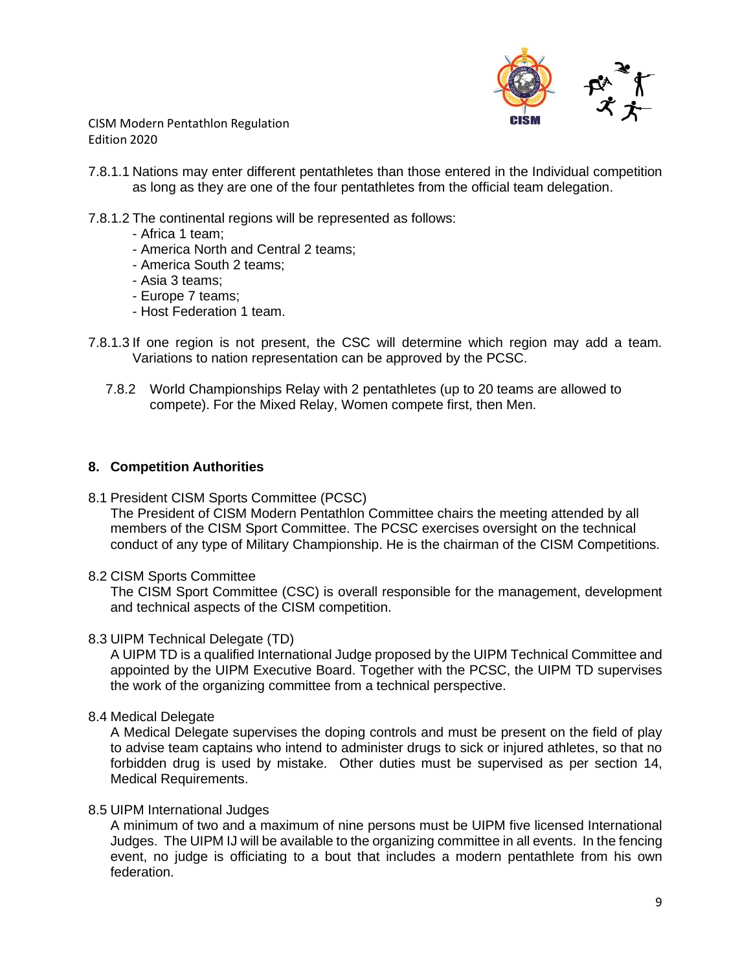

7.8.1.1 Nations may enter different pentathletes than those entered in the Individual competition as long as they are one of the four pentathletes from the official team delegation.

### 7.8.1.2 The continental regions will be represented as follows:

- Africa 1 team;
- America North and Central 2 teams;
- America South 2 teams;
- Asia 3 teams;
- Europe 7 teams;
- Host Federation 1 team.
- 7.8.1.3 If one region is not present, the CSC will determine which region may add a team. Variations to nation representation can be approved by the PCSC.
	- 7.8.2 World Championships Relay with 2 pentathletes (up to 20 teams are allowed to compete). For the Mixed Relay, Women compete first, then Men.

#### **8. Competition Authorities**

8.1 President CISM Sports Committee (PCSC)

The President of CISM Modern Pentathlon Committee chairs the meeting attended by all members of the CISM Sport Committee. The PCSC exercises oversight on the technical conduct of any type of Military Championship. He is the chairman of the CISM Competitions.

#### 8.2 CISM Sports Committee

The CISM Sport Committee (CSC) is overall responsible for the management, development and technical aspects of the CISM competition.

#### 8.3 UIPM Technical Delegate (TD)

A UIPM TD is a qualified International Judge proposed by the UIPM Technical Committee and appointed by the UIPM Executive Board. Together with the PCSC, the UIPM TD supervises the work of the organizing committee from a technical perspective.

8.4 Medical Delegate

A Medical Delegate supervises the doping controls and must be present on the field of play to advise team captains who intend to administer drugs to sick or injured athletes, so that no forbidden drug is used by mistake. Other duties must be supervised as per section 14, Medical Requirements.

#### 8.5 UIPM International Judges

A minimum of two and a maximum of nine persons must be UIPM five licensed International Judges. The UIPM IJ will be available to the organizing committee in all events. In the fencing event, no judge is officiating to a bout that includes a modern pentathlete from his own federation.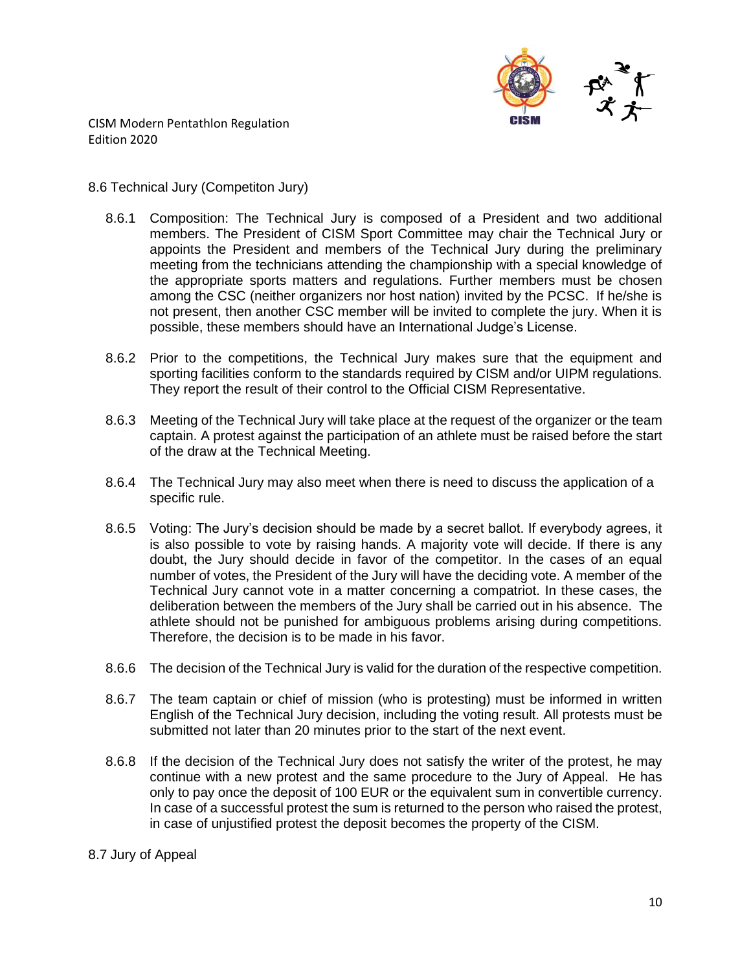

#### 8.6 Technical Jury (Competiton Jury)

- 8.6.1 Composition: The Technical Jury is composed of a President and two additional members. The President of CISM Sport Committee may chair the Technical Jury or appoints the President and members of the Technical Jury during the preliminary meeting from the technicians attending the championship with a special knowledge of the appropriate sports matters and regulations. Further members must be chosen among the CSC (neither organizers nor host nation) invited by the PCSC. If he/she is not present, then another CSC member will be invited to complete the jury. When it is possible, these members should have an International Judge's License.
- 8.6.2 Prior to the competitions, the Technical Jury makes sure that the equipment and sporting facilities conform to the standards required by CISM and/or UIPM regulations. They report the result of their control to the Official CISM Representative.
- 8.6.3 Meeting of the Technical Jury will take place at the request of the organizer or the team captain. A protest against the participation of an athlete must be raised before the start of the draw at the Technical Meeting.
- 8.6.4 The Technical Jury may also meet when there is need to discuss the application of a specific rule.
- 8.6.5 Voting: The Jury's decision should be made by a secret ballot. If everybody agrees, it is also possible to vote by raising hands. A majority vote will decide. If there is any doubt, the Jury should decide in favor of the competitor. In the cases of an equal number of votes, the President of the Jury will have the deciding vote. A member of the Technical Jury cannot vote in a matter concerning a compatriot. In these cases, the deliberation between the members of the Jury shall be carried out in his absence. The athlete should not be punished for ambiguous problems arising during competitions. Therefore, the decision is to be made in his favor.
- 8.6.6 The decision of the Technical Jury is valid for the duration of the respective competition.
- 8.6.7 The team captain or chief of mission (who is protesting) must be informed in written English of the Technical Jury decision, including the voting result. All protests must be submitted not later than 20 minutes prior to the start of the next event.
- 8.6.8 If the decision of the Technical Jury does not satisfy the writer of the protest, he may continue with a new protest and the same procedure to the Jury of Appeal. He has only to pay once the deposit of 100 EUR or the equivalent sum in convertible currency. In case of a successful protest the sum is returned to the person who raised the protest, in case of unjustified protest the deposit becomes the property of the CISM.

#### 8.7 Jury of Appeal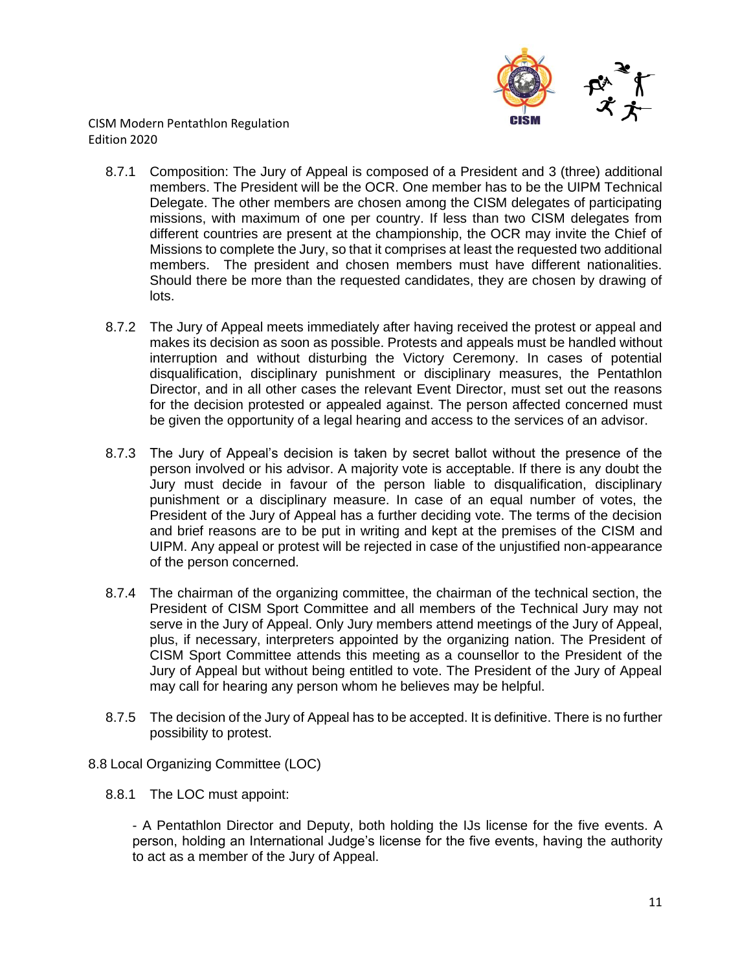

- 8.7.1 Composition: The Jury of Appeal is composed of a President and 3 (three) additional members. The President will be the OCR. One member has to be the UIPM Technical Delegate. The other members are chosen among the CISM delegates of participating missions, with maximum of one per country. If less than two CISM delegates from different countries are present at the championship, the OCR may invite the Chief of Missions to complete the Jury, so that it comprises at least the requested two additional members. The president and chosen members must have different nationalities. Should there be more than the requested candidates, they are chosen by drawing of lots.
- 8.7.2 The Jury of Appeal meets immediately after having received the protest or appeal and makes its decision as soon as possible. Protests and appeals must be handled without interruption and without disturbing the Victory Ceremony. In cases of potential disqualification, disciplinary punishment or disciplinary measures, the Pentathlon Director, and in all other cases the relevant Event Director, must set out the reasons for the decision protested or appealed against. The person affected concerned must be given the opportunity of a legal hearing and access to the services of an advisor.
- 8.7.3 The Jury of Appeal's decision is taken by secret ballot without the presence of the person involved or his advisor. A majority vote is acceptable. If there is any doubt the Jury must decide in favour of the person liable to disqualification, disciplinary punishment or a disciplinary measure. In case of an equal number of votes, the President of the Jury of Appeal has a further deciding vote. The terms of the decision and brief reasons are to be put in writing and kept at the premises of the CISM and UIPM. Any appeal or protest will be rejected in case of the unjustified non-appearance of the person concerned.
- 8.7.4 The chairman of the organizing committee, the chairman of the technical section, the President of CISM Sport Committee and all members of the Technical Jury may not serve in the Jury of Appeal. Only Jury members attend meetings of the Jury of Appeal, plus, if necessary, interpreters appointed by the organizing nation. The President of CISM Sport Committee attends this meeting as a counsellor to the President of the Jury of Appeal but without being entitled to vote. The President of the Jury of Appeal may call for hearing any person whom he believes may be helpful.
- 8.7.5 The decision of the Jury of Appeal has to be accepted. It is definitive. There is no further possibility to protest.

## 8.8 Local Organizing Committee (LOC)

8.8.1 The LOC must appoint:

- A Pentathlon Director and Deputy, both holding the IJs license for the five events. A person, holding an International Judge's license for the five events, having the authority to act as a member of the Jury of Appeal.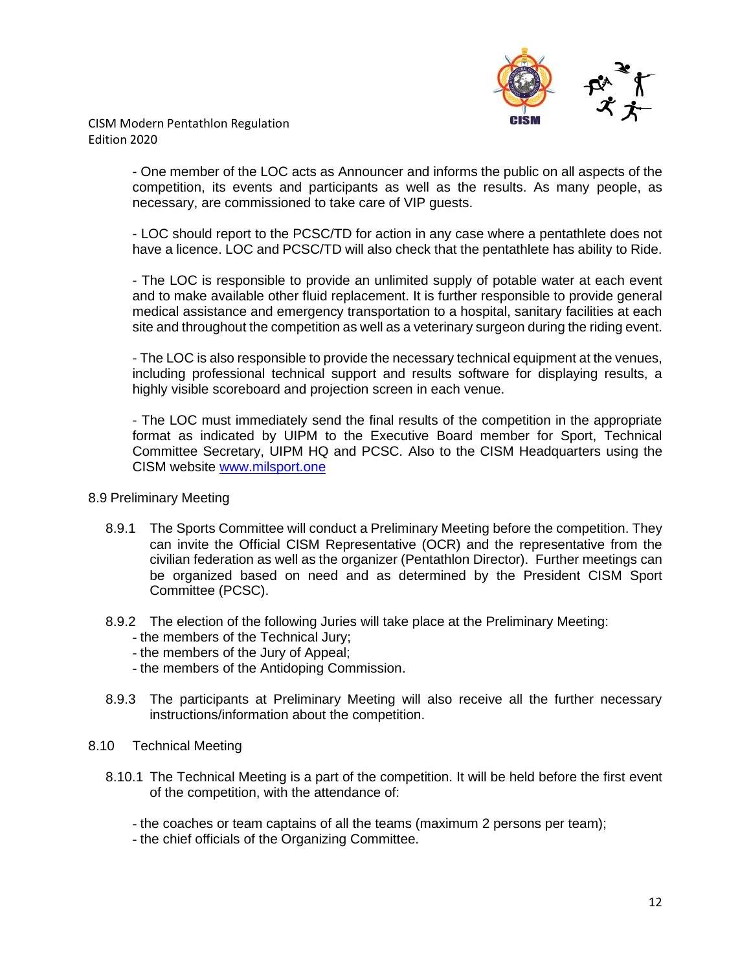

> - One member of the LOC acts as Announcer and informs the public on all aspects of the competition, its events and participants as well as the results. As many people, as necessary, are commissioned to take care of VIP guests.

> - LOC should report to the PCSC/TD for action in any case where a pentathlete does not have a licence. LOC and PCSC/TD will also check that the pentathlete has ability to Ride.

> - The LOC is responsible to provide an unlimited supply of potable water at each event and to make available other fluid replacement. It is further responsible to provide general medical assistance and emergency transportation to a hospital, sanitary facilities at each site and throughout the competition as well as a veterinary surgeon during the riding event.

> - The LOC is also responsible to provide the necessary technical equipment at the venues, including professional technical support and results software for displaying results, a highly visible scoreboard and projection screen in each venue.

> - The LOC must immediately send the final results of the competition in the appropriate format as indicated by UIPM to the Executive Board member for Sport, Technical Committee Secretary, UIPM HQ and PCSC. Also to the CISM Headquarters using the CISM website [www.milsport.one](http://www.cismmilsport.org/)

#### 8.9 Preliminary Meeting

- 8.9.1 The Sports Committee will conduct a Preliminary Meeting before the competition. They can invite the Official CISM Representative (OCR) and the representative from the civilian federation as well as the organizer (Pentathlon Director). Further meetings can be organized based on need and as determined by the President CISM Sport Committee (PCSC).
- 8.9.2 The election of the following Juries will take place at the Preliminary Meeting:
	- the members of the Technical Jury;
	- the members of the Jury of Appeal;
	- the members of the Antidoping Commission.
- 8.9.3 The participants at Preliminary Meeting will also receive all the further necessary instructions/information about the competition.
- 8.10 Technical Meeting
	- 8.10.1 The Technical Meeting is a part of the competition. It will be held before the first event of the competition, with the attendance of:
		- the coaches or team captains of all the teams (maximum 2 persons per team);
		- the chief officials of the Organizing Committee.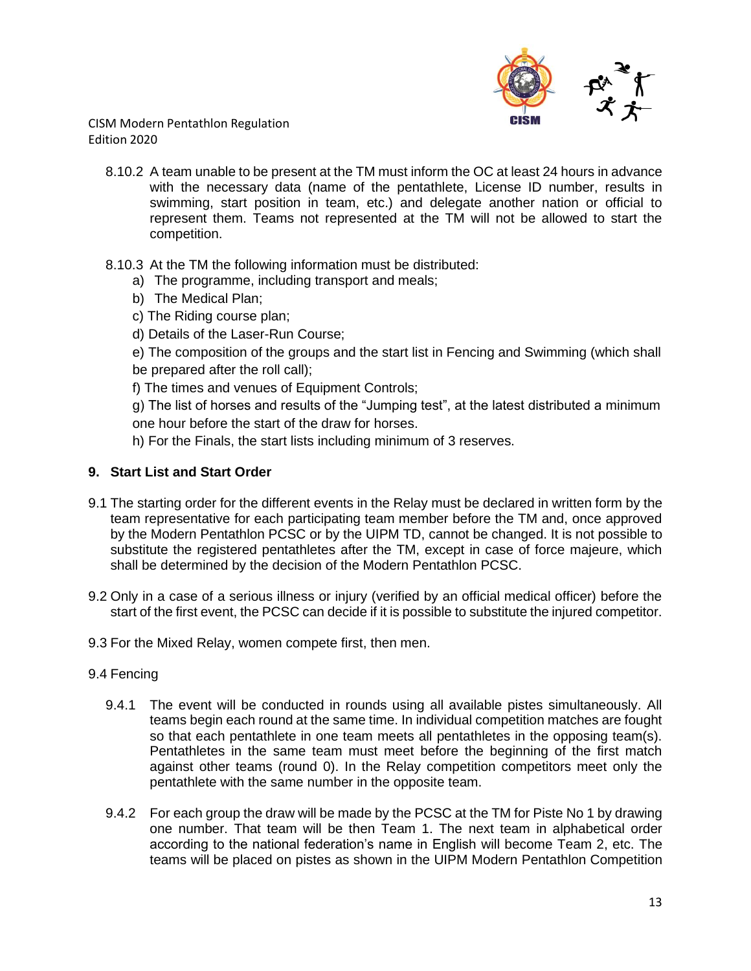

- 8.10.2 A team unable to be present at the TM must inform the OC at least 24 hours in advance with the necessary data (name of the pentathlete, License ID number, results in swimming, start position in team, etc.) and delegate another nation or official to represent them. Teams not represented at the TM will not be allowed to start the competition.
- 8.10.3 At the TM the following information must be distributed:
	- a) The programme, including transport and meals;
	- b) The Medical Plan;
	- c) The Riding course plan;
	- d) Details of the Laser-Run Course;

e) The composition of the groups and the start list in Fencing and Swimming (which shall be prepared after the roll call);

f) The times and venues of Equipment Controls;

g) The list of horses and results of the "Jumping test", at the latest distributed a minimum one hour before the start of the draw for horses.

h) For the Finals, the start lists including minimum of 3 reserves.

## **9. Start List and Start Order**

- 9.1 The starting order for the different events in the Relay must be declared in written form by the team representative for each participating team member before the TM and, once approved by the Modern Pentathlon PCSC or by the UIPM TD, cannot be changed. It is not possible to substitute the registered pentathletes after the TM, except in case of force majeure, which shall be determined by the decision of the Modern Pentathlon PCSC.
- 9.2 Only in a case of a serious illness or injury (verified by an official medical officer) before the start of the first event, the PCSC can decide if it is possible to substitute the injured competitor.
- 9.3 For the Mixed Relay, women compete first, then men.

#### 9.4 Fencing

- 9.4.1 The event will be conducted in rounds using all available pistes simultaneously. All teams begin each round at the same time. In individual competition matches are fought so that each pentathlete in one team meets all pentathletes in the opposing team(s). Pentathletes in the same team must meet before the beginning of the first match against other teams (round 0). In the Relay competition competitors meet only the pentathlete with the same number in the opposite team.
- 9.4.2 For each group the draw will be made by the PCSC at the TM for Piste No 1 by drawing one number. That team will be then Team 1. The next team in alphabetical order according to the national federation's name in English will become Team 2, etc. The teams will be placed on pistes as shown in the UIPM Modern Pentathlon Competition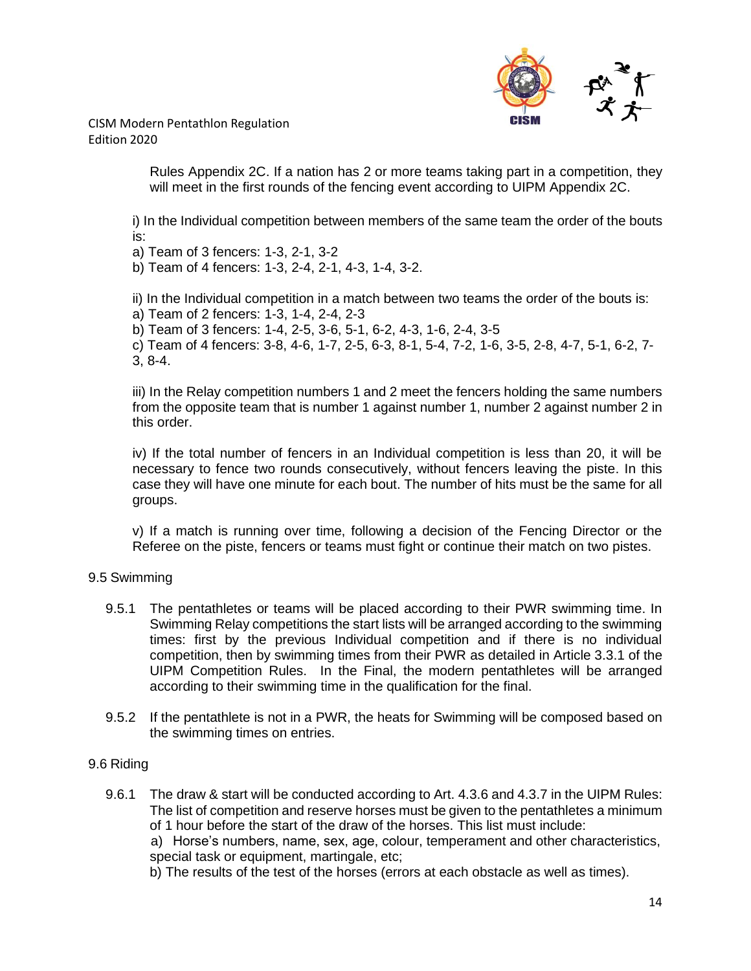

> Rules Appendix 2C. If a nation has 2 or more teams taking part in a competition, they will meet in the first rounds of the fencing event according to UIPM Appendix 2C.

i) In the Individual competition between members of the same team the order of the bouts is:

a) Team of 3 fencers: 1-3, 2-1, 3-2

b) Team of 4 fencers: 1-3, 2-4, 2-1, 4-3, 1-4, 3-2.

ii) In the Individual competition in a match between two teams the order of the bouts is: a) Team of 2 fencers: 1-3, 1-4, 2-4, 2-3

b) Team of 3 fencers: 1-4, 2-5, 3-6, 5-1, 6-2, 4-3, 1-6, 2-4, 3-5

c) Team of 4 fencers: 3-8, 4-6, 1-7, 2-5, 6-3, 8-1, 5-4, 7-2, 1-6, 3-5, 2-8, 4-7, 5-1, 6-2, 7- 3, 8-4.

iii) In the Relay competition numbers 1 and 2 meet the fencers holding the same numbers from the opposite team that is number 1 against number 1, number 2 against number 2 in this order.

iv) If the total number of fencers in an Individual competition is less than 20, it will be necessary to fence two rounds consecutively, without fencers leaving the piste. In this case they will have one minute for each bout. The number of hits must be the same for all groups.

v) If a match is running over time, following a decision of the Fencing Director or the Referee on the piste, fencers or teams must fight or continue their match on two pistes.

## 9.5 Swimming

- 9.5.1 The pentathletes or teams will be placed according to their PWR swimming time. In Swimming Relay competitions the start lists will be arranged according to the swimming times: first by the previous Individual competition and if there is no individual competition, then by swimming times from their PWR as detailed in Article 3.3.1 of the UIPM Competition Rules. In the Final, the modern pentathletes will be arranged according to their swimming time in the qualification for the final.
- 9.5.2 If the pentathlete is not in a PWR, the heats for Swimming will be composed based on the swimming times on entries.

#### 9.6 Riding

9.6.1 The draw & start will be conducted according to Art. 4.3.6 and 4.3.7 in the UIPM Rules: The list of competition and reserve horses must be given to the pentathletes a minimum of 1 hour before the start of the draw of the horses. This list must include:

a) Horse's numbers, name, sex, age, colour, temperament and other characteristics, special task or equipment, martingale, etc;

b) The results of the test of the horses (errors at each obstacle as well as times).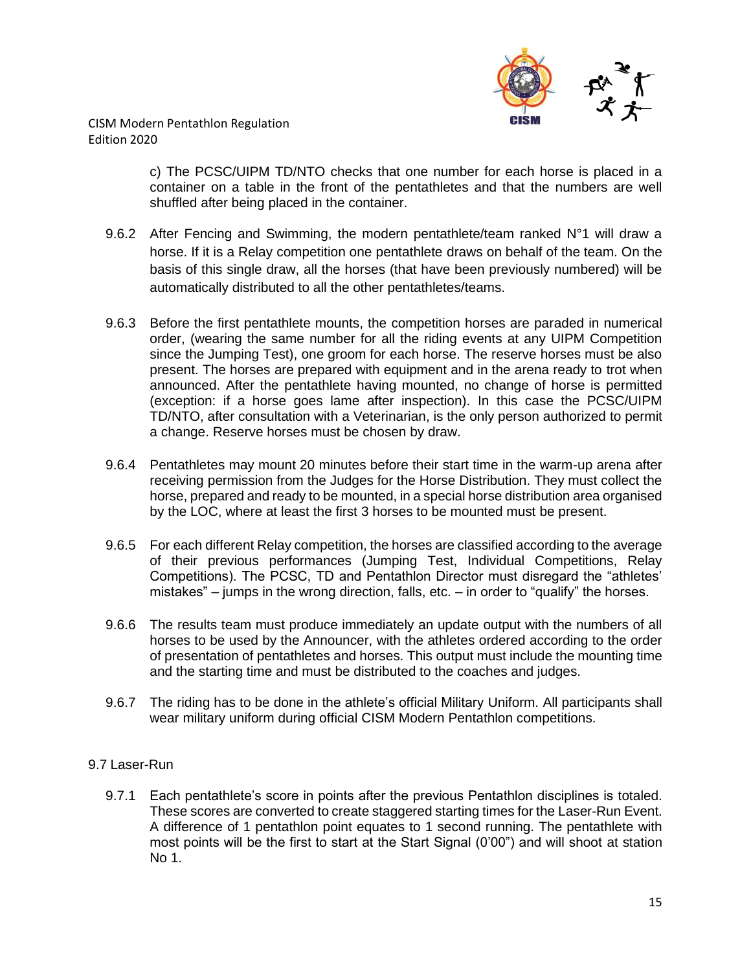

> c) The PCSC/UIPM TD/NTO checks that one number for each horse is placed in a container on a table in the front of the pentathletes and that the numbers are well shuffled after being placed in the container.

- 9.6.2 After Fencing and Swimming, the modern pentathlete/team ranked N°1 will draw a horse. If it is a Relay competition one pentathlete draws on behalf of the team. On the basis of this single draw, all the horses (that have been previously numbered) will be automatically distributed to all the other pentathletes/teams.
- 9.6.3 Before the first pentathlete mounts, the competition horses are paraded in numerical order, (wearing the same number for all the riding events at any UIPM Competition since the Jumping Test), one groom for each horse. The reserve horses must be also present. The horses are prepared with equipment and in the arena ready to trot when announced. After the pentathlete having mounted, no change of horse is permitted (exception: if a horse goes lame after inspection). In this case the PCSC/UIPM TD/NTO, after consultation with a Veterinarian, is the only person authorized to permit a change. Reserve horses must be chosen by draw.
- 9.6.4 Pentathletes may mount 20 minutes before their start time in the warm-up arena after receiving permission from the Judges for the Horse Distribution. They must collect the horse, prepared and ready to be mounted, in a special horse distribution area organised by the LOC, where at least the first 3 horses to be mounted must be present.
- 9.6.5 For each different Relay competition, the horses are classified according to the average of their previous performances (Jumping Test, Individual Competitions, Relay Competitions). The PCSC, TD and Pentathlon Director must disregard the "athletes' mistakes" – jumps in the wrong direction, falls, etc. – in order to "qualify" the horses.
- 9.6.6 The results team must produce immediately an update output with the numbers of all horses to be used by the Announcer, with the athletes ordered according to the order of presentation of pentathletes and horses. This output must include the mounting time and the starting time and must be distributed to the coaches and judges.
- 9.6.7 The riding has to be done in the athlete's official Military Uniform. All participants shall wear military uniform during official CISM Modern Pentathlon competitions.

## 9.7 Laser-Run

9.7.1 Each pentathlete's score in points after the previous Pentathlon disciplines is totaled. These scores are converted to create staggered starting times for the Laser-Run Event. A difference of 1 pentathlon point equates to 1 second running. The pentathlete with most points will be the first to start at the Start Signal (0'00") and will shoot at station No 1.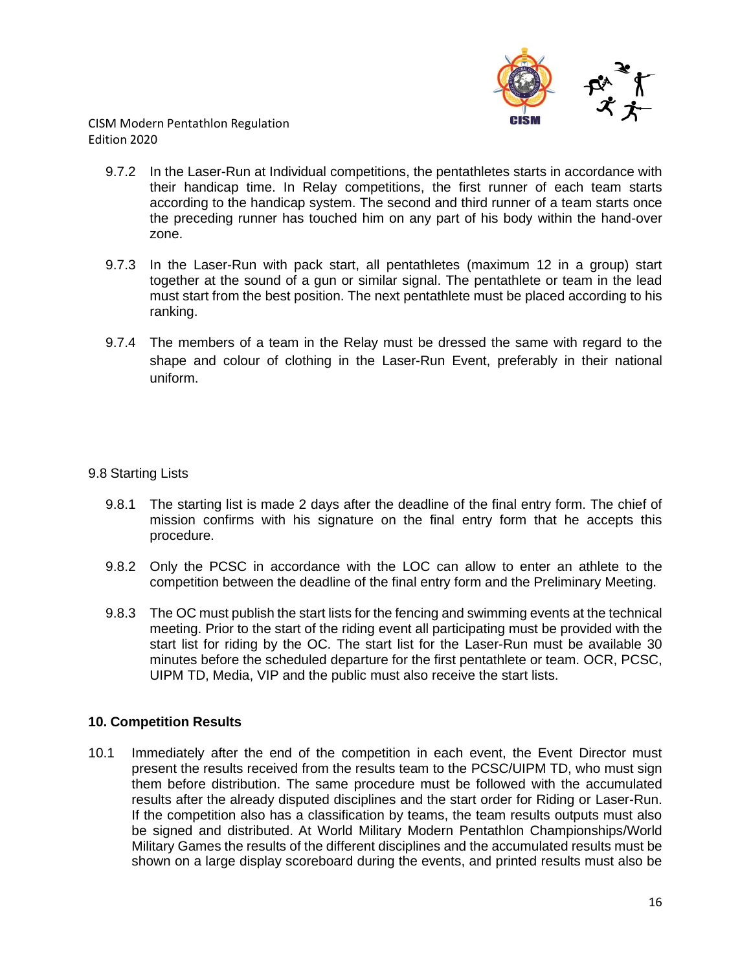

- 9.7.2 In the Laser-Run at Individual competitions, the pentathletes starts in accordance with their handicap time. In Relay competitions, the first runner of each team starts according to the handicap system. The second and third runner of a team starts once the preceding runner has touched him on any part of his body within the hand-over zone.
- 9.7.3 In the Laser-Run with pack start, all pentathletes (maximum 12 in a group) start together at the sound of a gun or similar signal. The pentathlete or team in the lead must start from the best position. The next pentathlete must be placed according to his ranking.
- 9.7.4 The members of a team in the Relay must be dressed the same with regard to the shape and colour of clothing in the Laser-Run Event, preferably in their national uniform.

### 9.8 Starting Lists

- 9.8.1 The starting list is made 2 days after the deadline of the final entry form. The chief of mission confirms with his signature on the final entry form that he accepts this procedure.
- 9.8.2 Only the PCSC in accordance with the LOC can allow to enter an athlete to the competition between the deadline of the final entry form and the Preliminary Meeting.
- 9.8.3 The OC must publish the start lists for the fencing and swimming events at the technical meeting. Prior to the start of the riding event all participating must be provided with the start list for riding by the OC. The start list for the Laser-Run must be available 30 minutes before the scheduled departure for the first pentathlete or team. OCR, PCSC, UIPM TD, Media, VIP and the public must also receive the start lists.

#### **10. Competition Results**

10.1 Immediately after the end of the competition in each event, the Event Director must present the results received from the results team to the PCSC/UIPM TD, who must sign them before distribution. The same procedure must be followed with the accumulated results after the already disputed disciplines and the start order for Riding or Laser-Run. If the competition also has a classification by teams, the team results outputs must also be signed and distributed. At World Military Modern Pentathlon Championships/World Military Games the results of the different disciplines and the accumulated results must be shown on a large display scoreboard during the events, and printed results must also be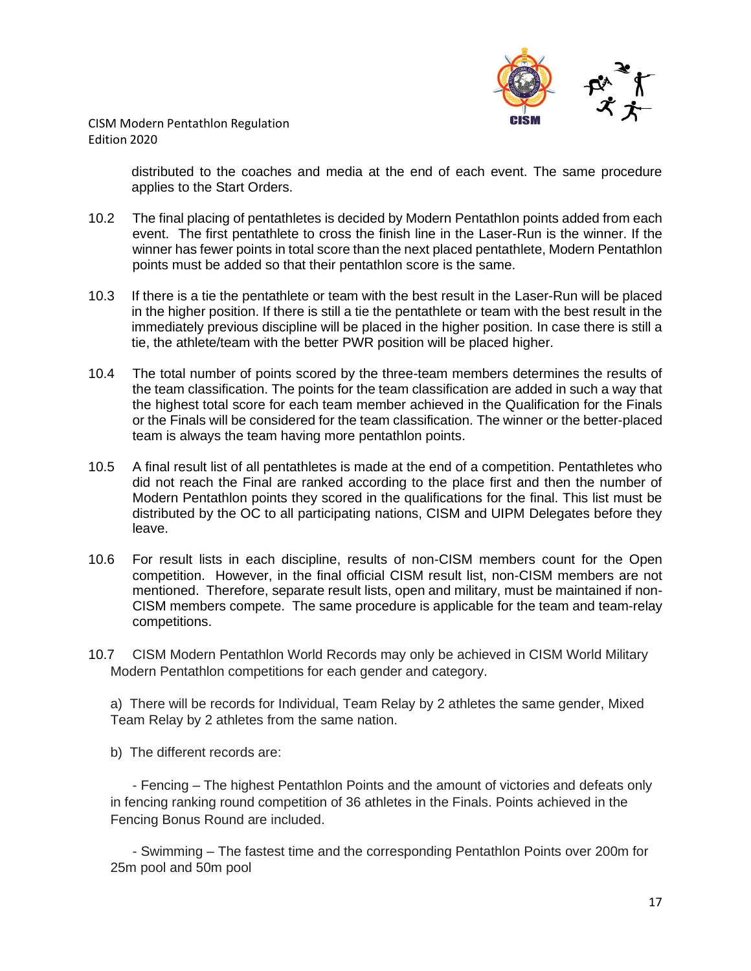

> distributed to the coaches and media at the end of each event. The same procedure applies to the Start Orders.

- 10.2 The final placing of pentathletes is decided by Modern Pentathlon points added from each event. The first pentathlete to cross the finish line in the Laser-Run is the winner. If the winner has fewer points in total score than the next placed pentathlete, Modern Pentathlon points must be added so that their pentathlon score is the same.
- 10.3 If there is a tie the pentathlete or team with the best result in the Laser-Run will be placed in the higher position. If there is still a tie the pentathlete or team with the best result in the immediately previous discipline will be placed in the higher position. In case there is still a tie, the athlete/team with the better PWR position will be placed higher.
- 10.4 The total number of points scored by the three-team members determines the results of the team classification. The points for the team classification are added in such a way that the highest total score for each team member achieved in the Qualification for the Finals or the Finals will be considered for the team classification. The winner or the better-placed team is always the team having more pentathlon points.
- 10.5 A final result list of all pentathletes is made at the end of a competition. Pentathletes who did not reach the Final are ranked according to the place first and then the number of Modern Pentathlon points they scored in the qualifications for the final. This list must be distributed by the OC to all participating nations, CISM and UIPM Delegates before they leave.
- 10.6 For result lists in each discipline, results of non-CISM members count for the Open competition. However, in the final official CISM result list, non-CISM members are not mentioned. Therefore, separate result lists, open and military, must be maintained if non-CISM members compete. The same procedure is applicable for the team and team-relay competitions.
- 10.7 CISM Modern Pentathlon World Records may only be achieved in CISM World Military Modern Pentathlon competitions for each gender and category.

a) There will be records for Individual, Team Relay by 2 athletes the same gender, Mixed Team Relay by 2 athletes from the same nation.

b) The different records are:

- Fencing – The highest Pentathlon Points and the amount of victories and defeats only in fencing ranking round competition of 36 athletes in the Finals. Points achieved in the Fencing Bonus Round are included.

- Swimming – The fastest time and the corresponding Pentathlon Points over 200m for 25m pool and 50m pool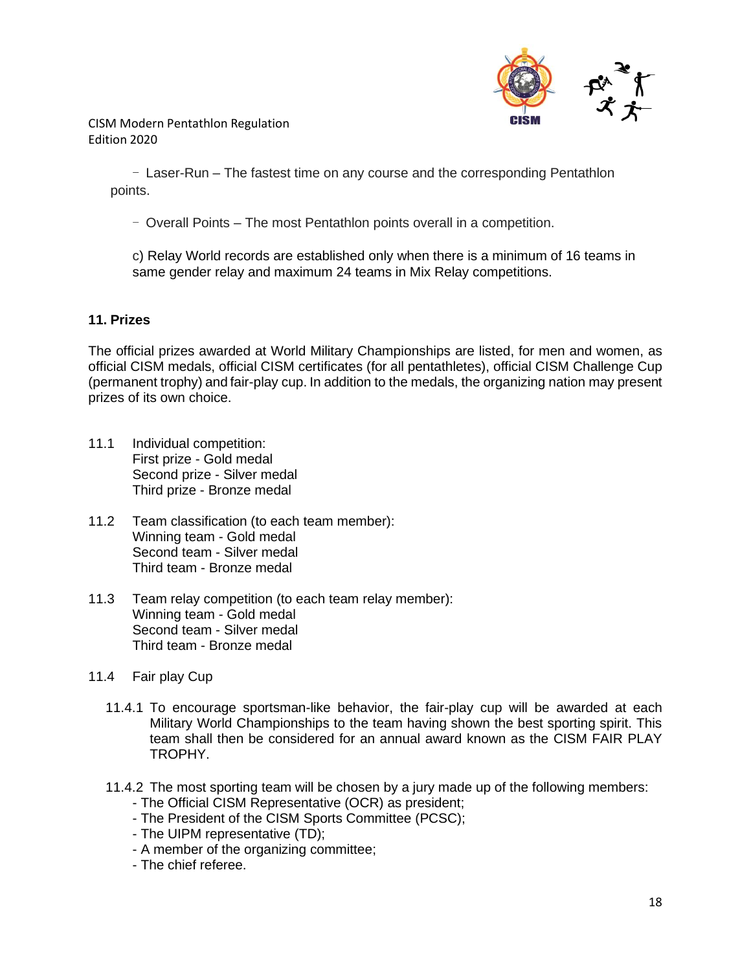

> - Laser-Run – The fastest time on any course and the corresponding Pentathlon points.

- Overall Points – The most Pentathlon points overall in a competition.

c) Relay World records are established only when there is a minimum of 16 teams in same gender relay and maximum 24 teams in Mix Relay competitions.

### **11. Prizes**

The official prizes awarded at World Military Championships are listed, for men and women, as official CISM medals, official CISM certificates (for all pentathletes), official CISM Challenge Cup (permanent trophy) and fair-play cup. In addition to the medals, the organizing nation may present prizes of its own choice.

- 11.1 Individual competition: First prize - Gold medal Second prize - Silver medal Third prize - Bronze medal
- 11.2 Team classification (to each team member): Winning team - Gold medal Second team - Silver medal Third team - Bronze medal
- 11.3 Team relay competition (to each team relay member): Winning team - Gold medal Second team - Silver medal Third team - Bronze medal
- 11.4 Fair play Cup
	- 11.4.1 To encourage sportsman-like behavior, the fair-play cup will be awarded at each Military World Championships to the team having shown the best sporting spirit. This team shall then be considered for an annual award known as the CISM FAIR PLAY TROPHY.
	- 11.4.2 The most sporting team will be chosen by a jury made up of the following members:
		- The Official CISM Representative (OCR) as president;
		- The President of the CISM Sports Committee (PCSC);
		- The UIPM representative (TD);
		- A member of the organizing committee;
		- The chief referee.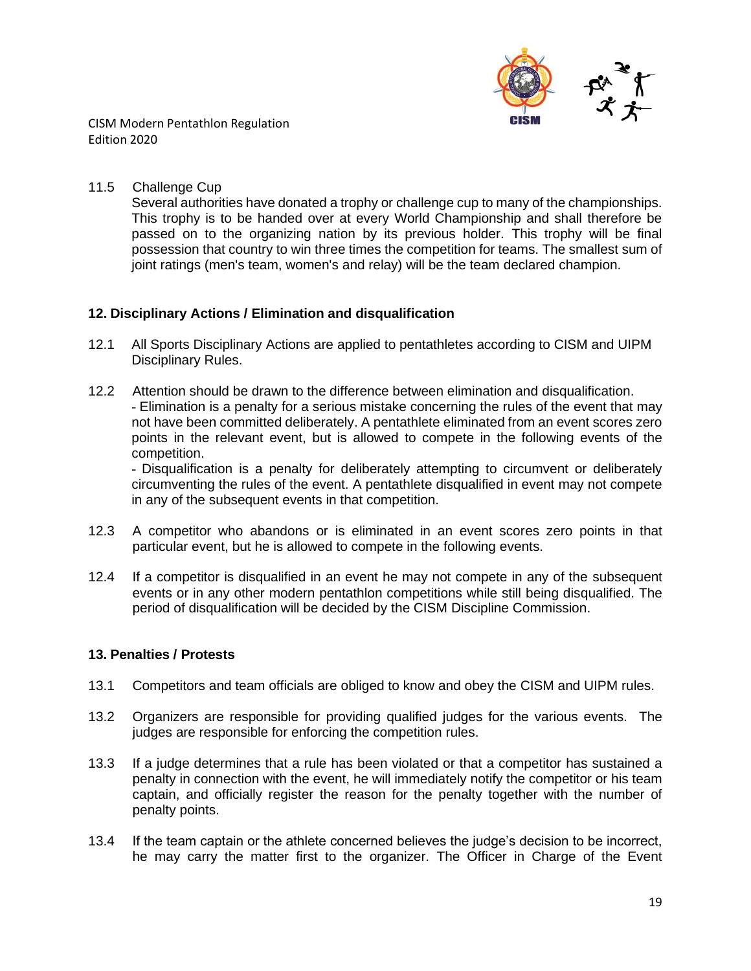

### 11.5 Challenge Cup

Several authorities have donated a trophy or challenge cup to many of the championships. This trophy is to be handed over at every World Championship and shall therefore be passed on to the organizing nation by its previous holder. This trophy will be final possession that country to win three times the competition for teams. The smallest sum of joint ratings (men's team, women's and relay) will be the team declared champion.

### **12. Disciplinary Actions / Elimination and disqualification**

- 12.1 All Sports Disciplinary Actions are applied to pentathletes according to CISM and UIPM Disciplinary Rules.
- 12.2 Attention should be drawn to the difference between elimination and disqualification. - Elimination is a penalty for a serious mistake concerning the rules of the event that may not have been committed deliberately. A pentathlete eliminated from an event scores zero points in the relevant event, but is allowed to compete in the following events of the competition.

- Disqualification is a penalty for deliberately attempting to circumvent or deliberately circumventing the rules of the event. A pentathlete disqualified in event may not compete in any of the subsequent events in that competition.

- 12.3 A competitor who abandons or is eliminated in an event scores zero points in that particular event, but he is allowed to compete in the following events.
- 12.4 If a competitor is disqualified in an event he may not compete in any of the subsequent events or in any other modern pentathlon competitions while still being disqualified. The period of disqualification will be decided by the CISM Discipline Commission.

## **13. Penalties / Protests**

- 13.1 Competitors and team officials are obliged to know and obey the CISM and UIPM rules.
- 13.2 Organizers are responsible for providing qualified judges for the various events. The judges are responsible for enforcing the competition rules.
- 13.3 If a judge determines that a rule has been violated or that a competitor has sustained a penalty in connection with the event, he will immediately notify the competitor or his team captain, and officially register the reason for the penalty together with the number of penalty points.
- 13.4 If the team captain or the athlete concerned believes the judge's decision to be incorrect, he may carry the matter first to the organizer. The Officer in Charge of the Event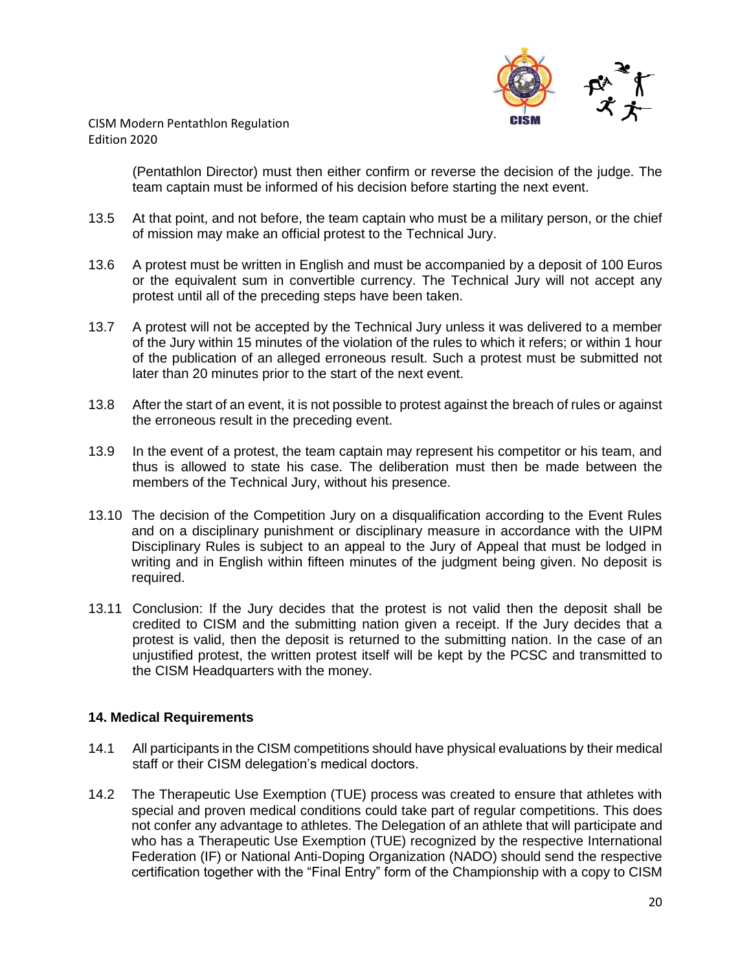

> (Pentathlon Director) must then either confirm or reverse the decision of the judge. The team captain must be informed of his decision before starting the next event.

- 13.5 At that point, and not before, the team captain who must be a military person, or the chief of mission may make an official protest to the Technical Jury.
- 13.6 A protest must be written in English and must be accompanied by a deposit of 100 Euros or the equivalent sum in convertible currency. The Technical Jury will not accept any protest until all of the preceding steps have been taken.
- 13.7 A protest will not be accepted by the Technical Jury unless it was delivered to a member of the Jury within 15 minutes of the violation of the rules to which it refers; or within 1 hour of the publication of an alleged erroneous result. Such a protest must be submitted not later than 20 minutes prior to the start of the next event.
- 13.8 After the start of an event, it is not possible to protest against the breach of rules or against the erroneous result in the preceding event.
- 13.9 In the event of a protest, the team captain may represent his competitor or his team, and thus is allowed to state his case. The deliberation must then be made between the members of the Technical Jury, without his presence.
- 13.10 The decision of the Competition Jury on a disqualification according to the Event Rules and on a disciplinary punishment or disciplinary measure in accordance with the UIPM Disciplinary Rules is subject to an appeal to the Jury of Appeal that must be lodged in writing and in English within fifteen minutes of the judgment being given. No deposit is required.
- 13.11 Conclusion: If the Jury decides that the protest is not valid then the deposit shall be credited to CISM and the submitting nation given a receipt. If the Jury decides that a protest is valid, then the deposit is returned to the submitting nation. In the case of an unjustified protest, the written protest itself will be kept by the PCSC and transmitted to the CISM Headquarters with the money.

## **14. Medical Requirements**

- 14.1 All participants in the CISM competitions should have physical evaluations by their medical staff or their CISM delegation's medical doctors.
- 14.2 The Therapeutic Use Exemption (TUE) process was created to ensure that athletes with special and proven medical conditions could take part of regular competitions. This does not confer any advantage to athletes. The Delegation of an athlete that will participate and who has a Therapeutic Use Exemption (TUE) recognized by the respective International Federation (IF) or National Anti-Doping Organization (NADO) should send the respective certification together with the "Final Entry" form of the Championship with a copy to CISM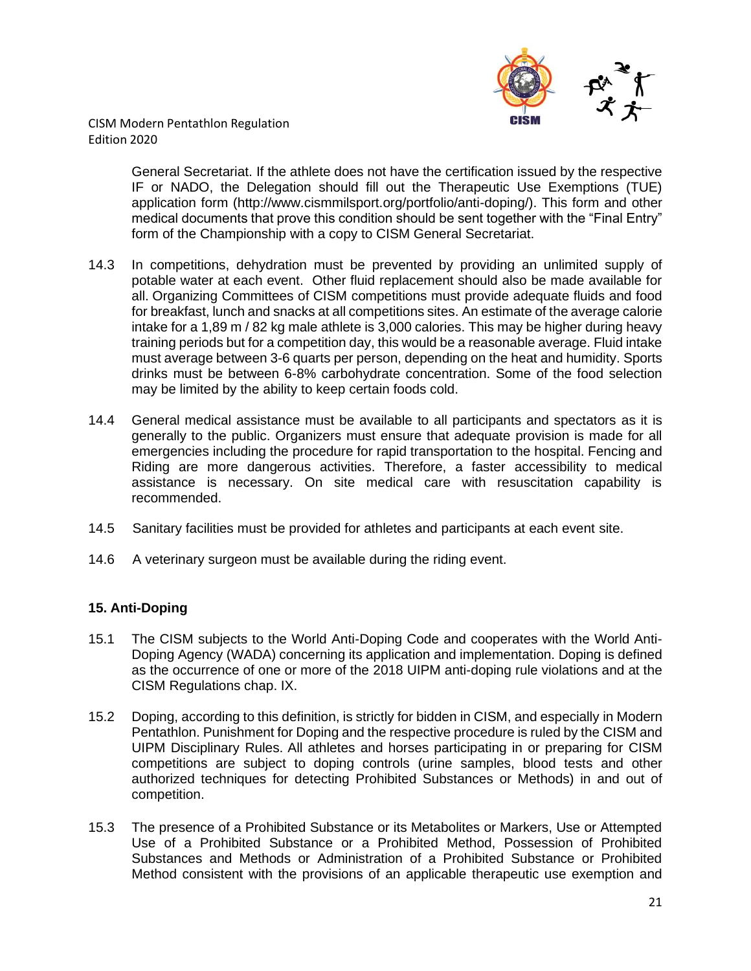

> General Secretariat. If the athlete does not have the certification issued by the respective IF or NADO, the Delegation should fill out the Therapeutic Use Exemptions (TUE) application form (http://www.cismmilsport.org/portfolio/anti-doping/). This form and other medical documents that prove this condition should be sent together with the "Final Entry" form of the Championship with a copy to CISM General Secretariat.

- 14.3 In competitions, dehydration must be prevented by providing an unlimited supply of potable water at each event. Other fluid replacement should also be made available for all. Organizing Committees of CISM competitions must provide adequate fluids and food for breakfast, lunch and snacks at all competitions sites. An estimate of the average calorie intake for a 1,89 m / 82 kg male athlete is 3,000 calories. This may be higher during heavy training periods but for a competition day, this would be a reasonable average. Fluid intake must average between 3-6 quarts per person, depending on the heat and humidity. Sports drinks must be between 6-8% carbohydrate concentration. Some of the food selection may be limited by the ability to keep certain foods cold.
- 14.4 General medical assistance must be available to all participants and spectators as it is generally to the public. Organizers must ensure that adequate provision is made for all emergencies including the procedure for rapid transportation to the hospital. Fencing and Riding are more dangerous activities. Therefore, a faster accessibility to medical assistance is necessary. On site medical care with resuscitation capability is recommended.
- 14.5 Sanitary facilities must be provided for athletes and participants at each event site.
- 14.6 A veterinary surgeon must be available during the riding event.

## **15. Anti-Doping**

- 15.1 The CISM subjects to the World Anti-Doping Code and cooperates with the World Anti-Doping Agency (WADA) concerning its application and implementation. Doping is defined as the occurrence of one or more of the 2018 UIPM anti-doping rule violations and at the CISM Regulations chap. IX.
- 15.2 Doping, according to this definition, is strictly for bidden in CISM, and especially in Modern Pentathlon. Punishment for Doping and the respective procedure is ruled by the CISM and UIPM Disciplinary Rules. All athletes and horses participating in or preparing for CISM competitions are subject to doping controls (urine samples, blood tests and other authorized techniques for detecting Prohibited Substances or Methods) in and out of competition.
- 15.3 The presence of a Prohibited Substance or its Metabolites or Markers, Use or Attempted Use of a Prohibited Substance or a Prohibited Method, Possession of Prohibited Substances and Methods or Administration of a Prohibited Substance or Prohibited Method consistent with the provisions of an applicable therapeutic use exemption and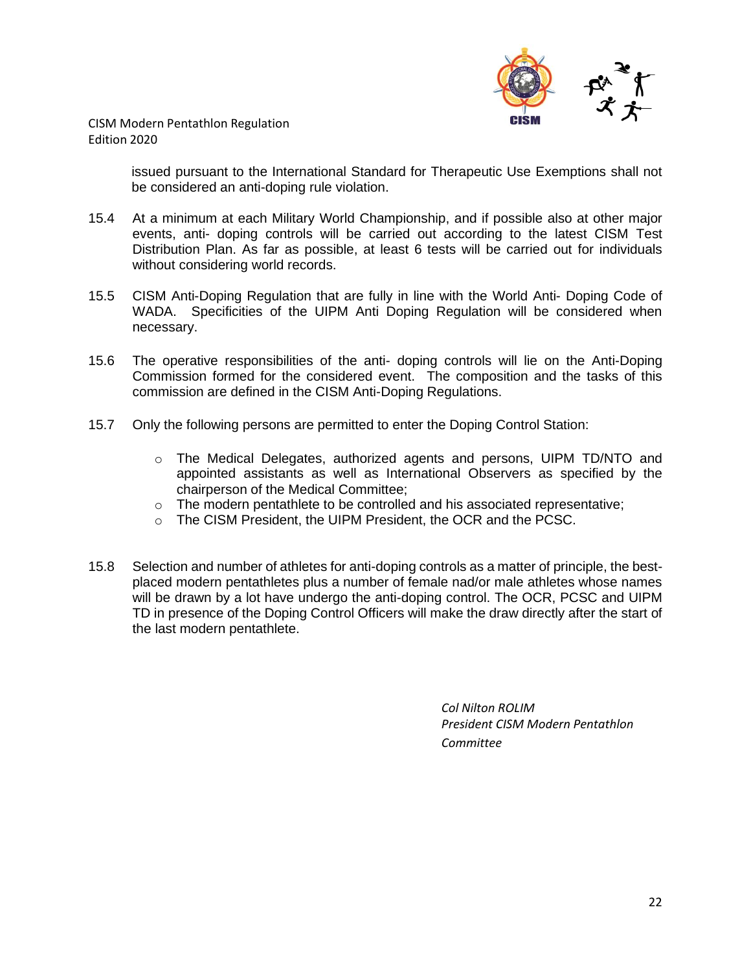

> issued pursuant to the International Standard for Therapeutic Use Exemptions shall not be considered an anti-doping rule violation.

- 15.4 At a minimum at each Military World Championship, and if possible also at other major events, anti- doping controls will be carried out according to the latest CISM Test Distribution Plan. As far as possible, at least 6 tests will be carried out for individuals without considering world records.
- 15.5 CISM Anti-Doping Regulation that are fully in line with the World Anti- Doping Code of WADA. Specificities of the UIPM Anti Doping Regulation will be considered when necessary.
- 15.6 The operative responsibilities of the anti- doping controls will lie on the Anti-Doping Commission formed for the considered event. The composition and the tasks of this commission are defined in the CISM Anti-Doping Regulations.
- 15.7 Only the following persons are permitted to enter the Doping Control Station:
	- o The Medical Delegates, authorized agents and persons, UIPM TD/NTO and appointed assistants as well as International Observers as specified by the chairperson of the Medical Committee;
	- o The modern pentathlete to be controlled and his associated representative;
	- o The CISM President, the UIPM President, the OCR and the PCSC.
- 15.8 Selection and number of athletes for anti-doping controls as a matter of principle, the bestplaced modern pentathletes plus a number of female nad/or male athletes whose names will be drawn by a lot have undergo the anti-doping control. The OCR, PCSC and UIPM TD in presence of the Doping Control Officers will make the draw directly after the start of the last modern pentathlete.

*Col Nilton ROLIM President CISM Modern Pentathlon Committee*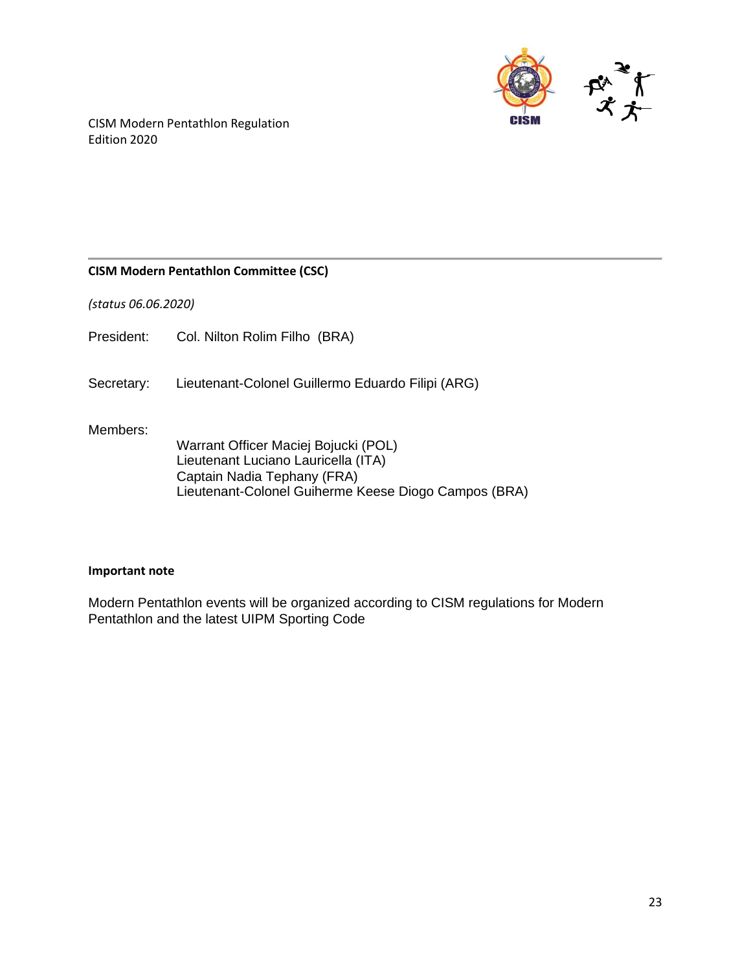

### **CISM Modern Pentathlon Committee (CSC)**

*(status 06.06.2020)*

President: Col. Nilton Rolim Filho (BRA)

Secretary: Lieutenant-Colonel Guillermo Eduardo Filipi (ARG)

#### Members:

Warrant Officer Maciej Bojucki (POL) Lieutenant Luciano Lauricella (ITA) Captain Nadia Tephany (FRA) Lieutenant-Colonel Guiherme Keese Diogo Campos (BRA)

#### **Important note**

Modern Pentathlon events will be organized according to CISM regulations for Modern Pentathlon and the latest UIPM Sporting Code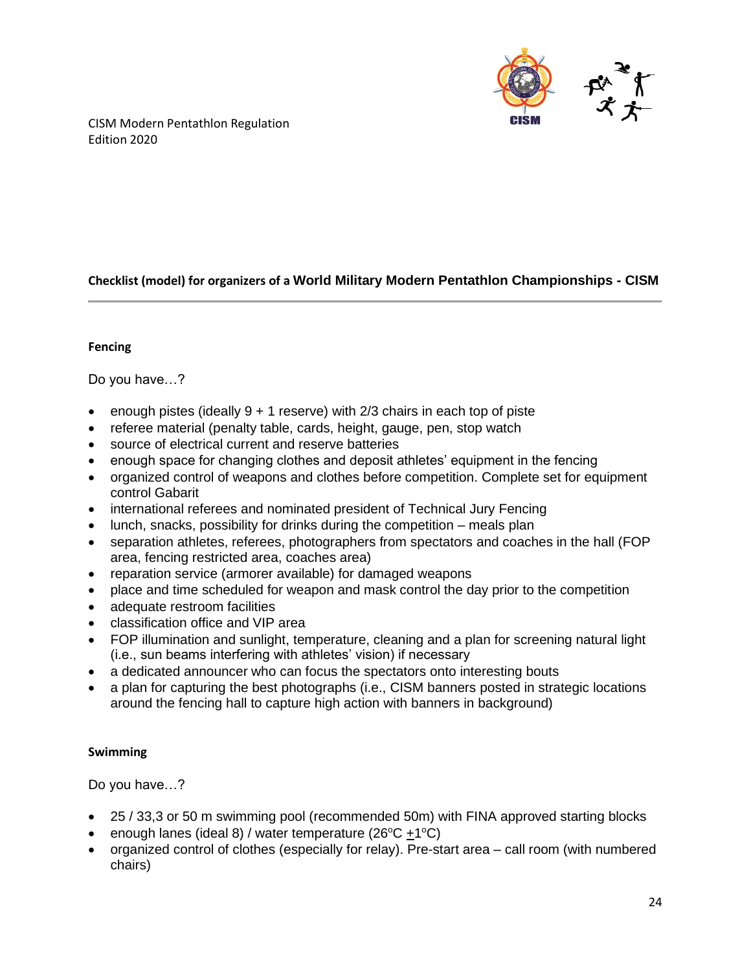

# **Checklist (model) for organizers of a World Military Modern Pentathlon Championships - CISM**

#### **Fencing**

Do you have…?

- enough pistes (ideally  $9 + 1$  reserve) with 2/3 chairs in each top of piste
- referee material (penalty table, cards, height, gauge, pen, stop watch
- source of electrical current and reserve batteries
- enough space for changing clothes and deposit athletes' equipment in the fencing
- organized control of weapons and clothes before competition. Complete set for equipment control Gabarit
- international referees and nominated president of Technical Jury Fencing
- lunch, snacks, possibility for drinks during the competition meals plan
- separation athletes, referees, photographers from spectators and coaches in the hall (FOP area, fencing restricted area, coaches area)
- reparation service (armorer available) for damaged weapons
- place and time scheduled for weapon and mask control the day prior to the competition
- adequate restroom facilities
- classification office and VIP area
- FOP illumination and sunlight, temperature, cleaning and a plan for screening natural light (i.e., sun beams interfering with athletes' vision) if necessary
- a dedicated announcer who can focus the spectators onto interesting bouts
- a plan for capturing the best photographs (i.e., CISM banners posted in strategic locations around the fencing hall to capture high action with banners in background)

## **Swimming**

Do you have…?

- 25 / 33,3 or 50 m swimming pool (recommended 50m) with FINA approved starting blocks
- enough lanes (ideal 8) / water temperature (26°C  $\pm$ 1°C)
- organized control of clothes (especially for relay). Pre-start area call room (with numbered chairs)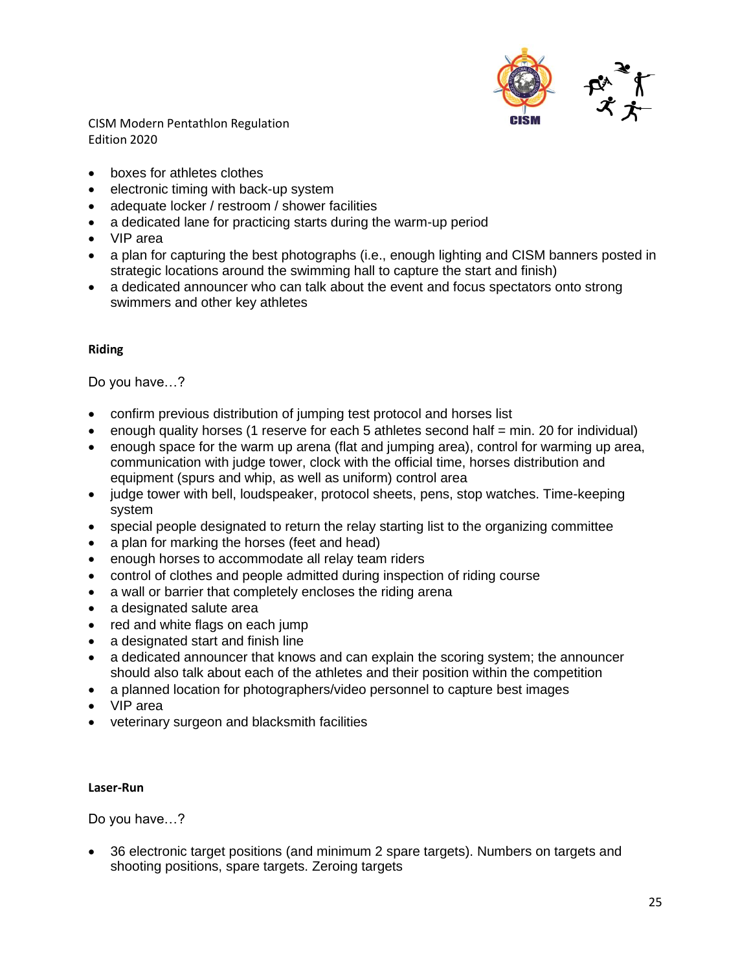

- boxes for athletes clothes
- electronic timing with back-up system
- adequate locker / restroom / shower facilities
- a dedicated lane for practicing starts during the warm-up period
- VIP area
- a plan for capturing the best photographs (i.e., enough lighting and CISM banners posted in strategic locations around the swimming hall to capture the start and finish)
- a dedicated announcer who can talk about the event and focus spectators onto strong swimmers and other key athletes

#### **Riding**

Do you have…?

- confirm previous distribution of jumping test protocol and horses list
- enough quality horses (1 reserve for each 5 athletes second half  $=$  min. 20 for individual)
- enough space for the warm up arena (flat and jumping area), control for warming up area, communication with judge tower, clock with the official time, horses distribution and equipment (spurs and whip, as well as uniform) control area
- judge tower with bell, loudspeaker, protocol sheets, pens, stop watches. Time-keeping system
- special people designated to return the relay starting list to the organizing committee
- a plan for marking the horses (feet and head)
- enough horses to accommodate all relay team riders
- control of clothes and people admitted during inspection of riding course
- a wall or barrier that completely encloses the riding arena
- a designated salute area
- red and white flags on each jump
- a designated start and finish line
- a dedicated announcer that knows and can explain the scoring system; the announcer should also talk about each of the athletes and their position within the competition
- a planned location for photographers/video personnel to capture best images
- VIP area
- veterinary surgeon and blacksmith facilities

#### **Laser-Run**

Do you have…?

• 36 electronic target positions (and minimum 2 spare targets). Numbers on targets and shooting positions, spare targets. Zeroing targets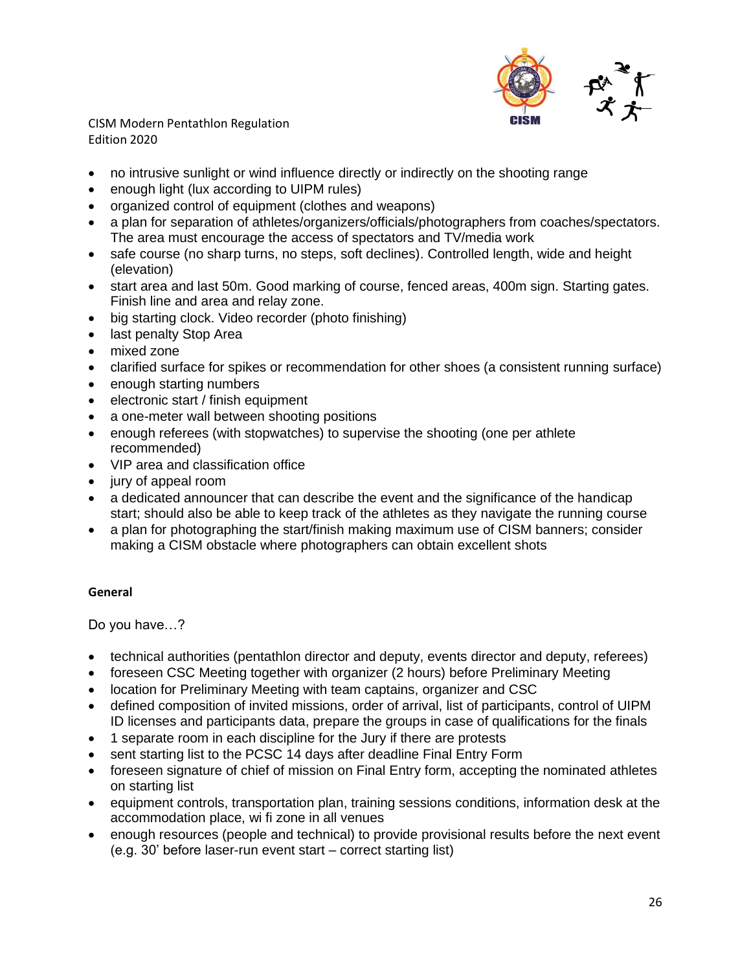

- no intrusive sunlight or wind influence directly or indirectly on the shooting range
- enough light (lux according to UIPM rules)
- organized control of equipment (clothes and weapons)
- a plan for separation of athletes/organizers/officials/photographers from coaches/spectators. The area must encourage the access of spectators and TV/media work
- safe course (no sharp turns, no steps, soft declines). Controlled length, wide and height (elevation)
- start area and last 50m. Good marking of course, fenced areas, 400m sign. Starting gates. Finish line and area and relay zone.
- big starting clock. Video recorder (photo finishing)
- last penalty Stop Area
- mixed zone
- clarified surface for spikes or recommendation for other shoes (a consistent running surface)
- enough starting numbers
- electronic start / finish equipment
- a one-meter wall between shooting positions
- enough referees (with stopwatches) to supervise the shooting (one per athlete recommended)
- VIP area and classification office
- jury of appeal room
- a dedicated announcer that can describe the event and the significance of the handicap start; should also be able to keep track of the athletes as they navigate the running course
- a plan for photographing the start/finish making maximum use of CISM banners; consider making a CISM obstacle where photographers can obtain excellent shots

#### **General**

Do you have…?

- technical authorities (pentathlon director and deputy, events director and deputy, referees)
- foreseen CSC Meeting together with organizer (2 hours) before Preliminary Meeting
- location for Preliminary Meeting with team captains, organizer and CSC
- defined composition of invited missions, order of arrival, list of participants, control of UIPM ID licenses and participants data, prepare the groups in case of qualifications for the finals
- 1 separate room in each discipline for the Jury if there are protests
- sent starting list to the PCSC 14 days after deadline Final Entry Form
- foreseen signature of chief of mission on Final Entry form, accepting the nominated athletes on starting list
- equipment controls, transportation plan, training sessions conditions, information desk at the accommodation place, wi fi zone in all venues
- enough resources (people and technical) to provide provisional results before the next event (e.g. 30' before laser-run event start – correct starting list)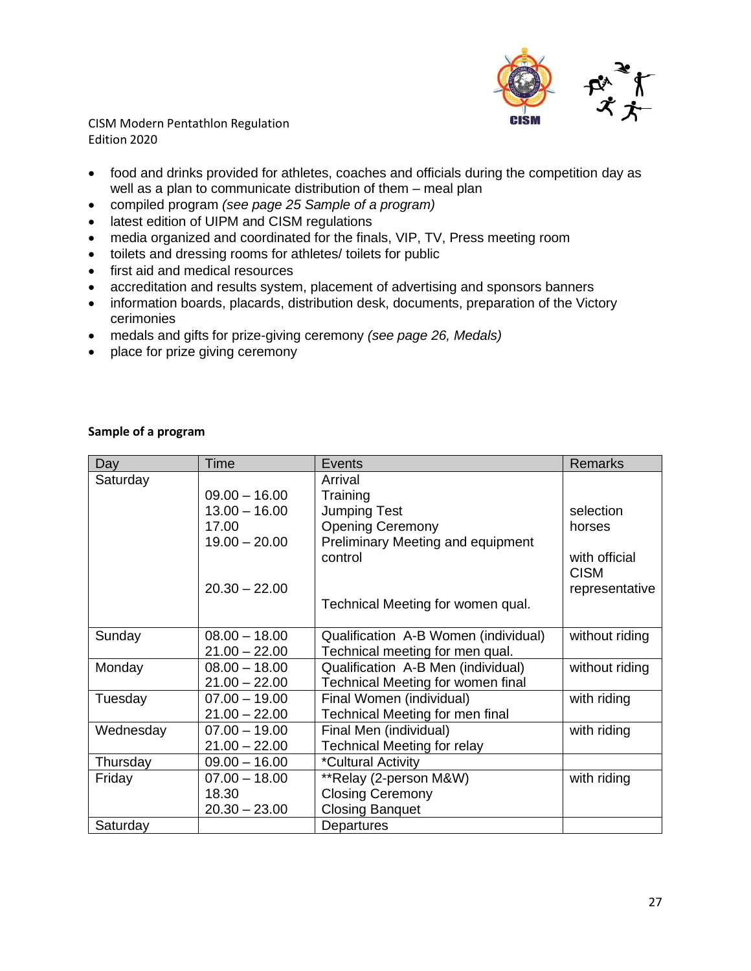

- food and drinks provided for athletes, coaches and officials during the competition day as well as a plan to communicate distribution of them – meal plan
- compiled program *(see page 25 Sample of a program)*
- latest edition of UIPM and CISM regulations
- media organized and coordinated for the finals, VIP, TV, Press meeting room
- toilets and dressing rooms for athletes/ toilets for public
- first aid and medical resources
- accreditation and results system, placement of advertising and sponsors banners
- information boards, placards, distribution desk, documents, preparation of the Victory cerimonies
- medals and gifts for prize-giving ceremony *(see page 26, Medals)*
- place for prize giving ceremony

### **Sample of a program**

| Day       | <b>Time</b>     | Events                                   | <b>Remarks</b>               |
|-----------|-----------------|------------------------------------------|------------------------------|
| Saturday  |                 | Arrival                                  |                              |
|           | $09.00 - 16.00$ | Training                                 |                              |
|           | $13.00 - 16.00$ | <b>Jumping Test</b>                      | selection                    |
|           | 17.00           | <b>Opening Ceremony</b>                  | horses                       |
|           | $19.00 - 20.00$ | <b>Preliminary Meeting and equipment</b> |                              |
|           |                 | control                                  | with official<br><b>CISM</b> |
|           | $20.30 - 22.00$ |                                          | representative               |
|           |                 | Technical Meeting for women qual.        |                              |
| Sunday    | $08.00 - 18.00$ | Qualification A-B Women (individual)     | without riding               |
|           | $21.00 - 22.00$ | Technical meeting for men qual.          |                              |
| Monday    | $08.00 - 18.00$ | Qualification A-B Men (individual)       | without riding               |
|           | $21.00 - 22.00$ | Technical Meeting for women final        |                              |
| Tuesday   | $07.00 - 19.00$ | Final Women (individual)                 | with riding                  |
|           | $21.00 - 22.00$ | Technical Meeting for men final          |                              |
| Wednesday | $07.00 - 19.00$ | Final Men (individual)                   | with riding                  |
|           | $21.00 - 22.00$ | <b>Technical Meeting for relay</b>       |                              |
| Thursday  | $09.00 - 16.00$ | *Cultural Activity                       |                              |
| Friday    | $07.00 - 18.00$ | **Relay (2-person M&W)                   | with riding                  |
|           | 18.30           | <b>Closing Ceremony</b>                  |                              |
|           | $20.30 - 23.00$ | <b>Closing Banquet</b>                   |                              |
| Saturday  |                 | Departures                               |                              |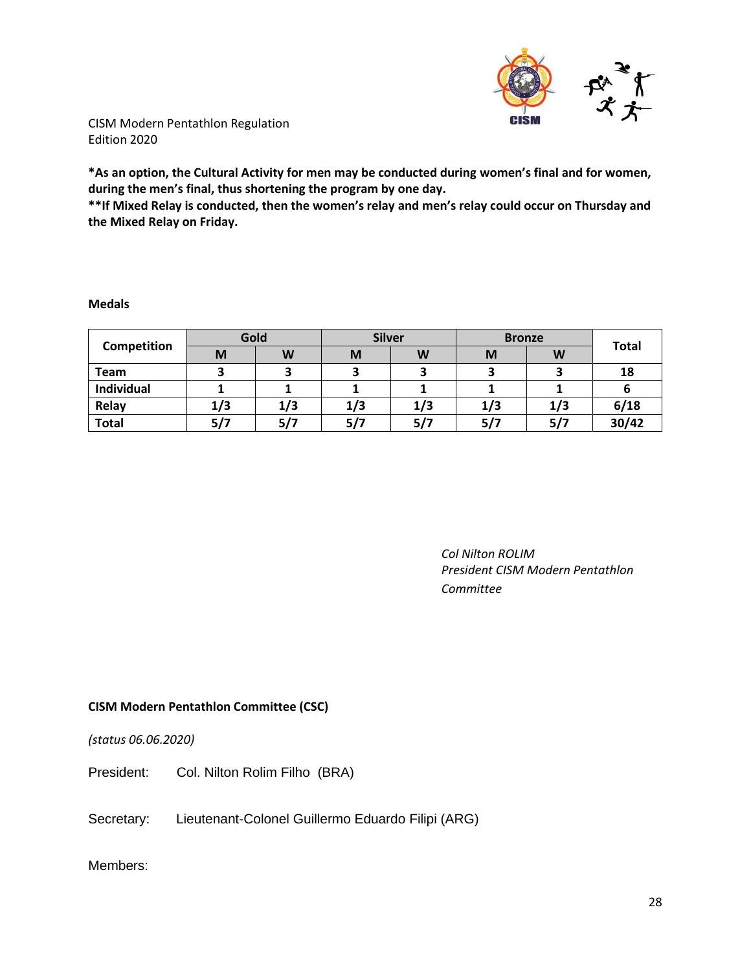

**\*As an option, the Cultural Activity for men may be conducted during women's final and for women, during the men's final, thus shortening the program by one day.**

**\*\*If Mixed Relay is conducted, then the women's relay and men's relay could occur on Thursday and the Mixed Relay on Friday.**

#### **Medals**

| Competition       | Gold |     | <b>Silver</b> |     | <b>Bronze</b> |     |              |
|-------------------|------|-----|---------------|-----|---------------|-----|--------------|
|                   | M    | W   | M             | W   | M             | W   | <b>Total</b> |
| <b>Team</b>       |      |     |               |     |               |     | 18           |
| <b>Individual</b> |      |     |               |     |               |     |              |
| Relay             | 1/3  | 1/3 | 1/3           | 1/3 | 1/3           | 1/3 | 6/18         |
| <b>Total</b>      | 5/7  | 5/7 | 5/7           | 5/7 | 5/7           | 5/7 | 30/42        |

*Col Nilton ROLIM President CISM Modern Pentathlon Committee*

#### **CISM Modern Pentathlon Committee (CSC)**

*(status 06.06.2020)*

President: Col. Nilton Rolim Filho (BRA)

Secretary: Lieutenant-Colonel Guillermo Eduardo Filipi (ARG)

Members: